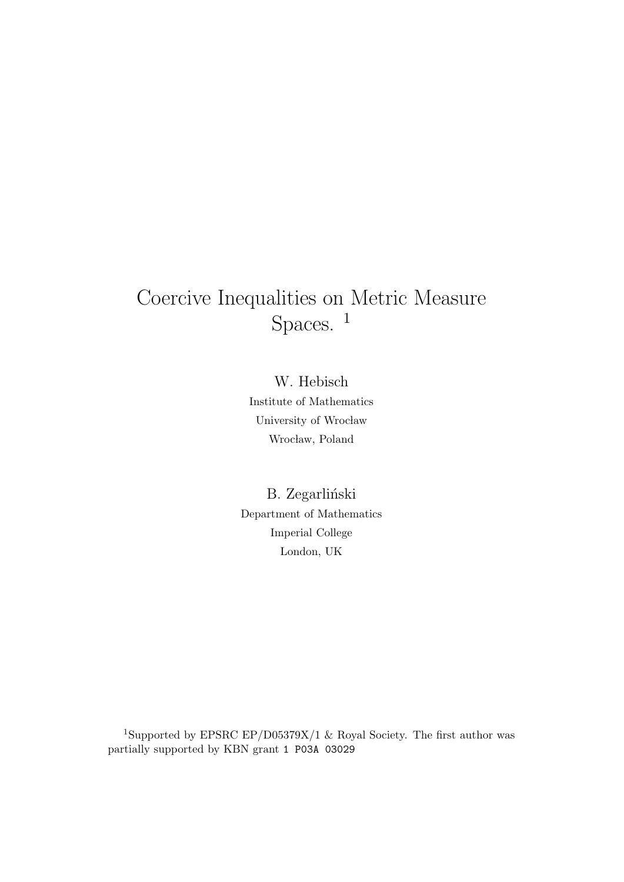# Coercive Inequalities on Metric Measure Spaces. <sup>1</sup>

W. Hebisch Institute of Mathematics University of Wrocław Wrocław, Poland

B. Zegarliński Department of Mathematics Imperial College London, UK

 $^1\rm{Supported}$  by EPSRC EP/D05379X/1 & Royal Society. The first author was partially supported by KBN grant 1 P03A 03029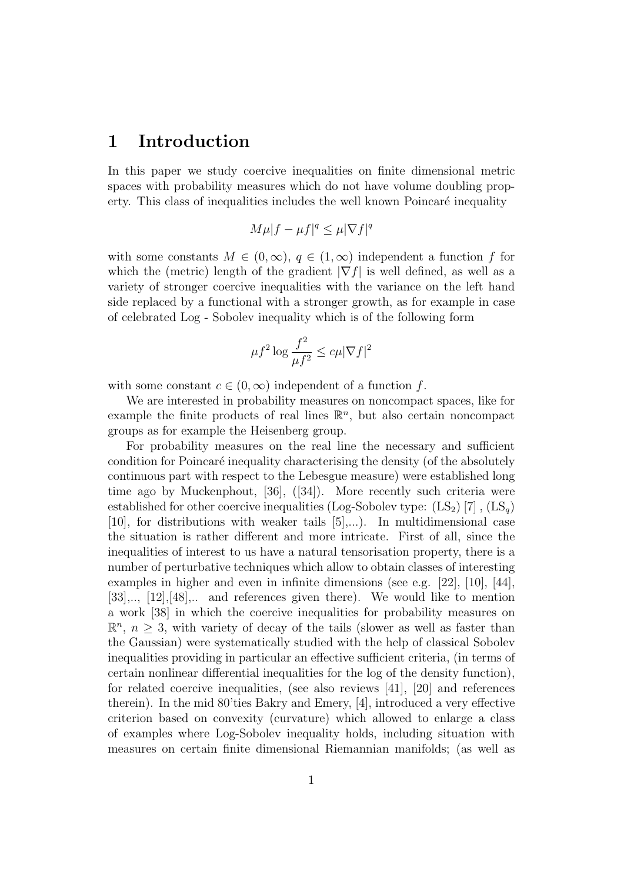### 1 Introduction

In this paper we study coercive inequalities on finite dimensional metric spaces with probability measures which do not have volume doubling property. This class of inequalities includes the well known Poincaré inequality

$$
M\mu|f-\mu f|^q\leq \mu|\nabla f|^q
$$

with some constants  $M \in (0, \infty), q \in (1, \infty)$  independent a function f for which the (metric) length of the gradient  $|\nabla f|$  is well defined, as well as a variety of stronger coercive inequalities with the variance on the left hand side replaced by a functional with a stronger growth, as for example in case of celebrated Log - Sobolev inequality which is of the following form

$$
\mu f^2 \log \frac{f^2}{\mu f^2} \le c\mu |\nabla f|^2
$$

with some constant  $c \in (0, \infty)$  independent of a function f.

We are interested in probability measures on noncompact spaces, like for example the finite products of real lines  $\mathbb{R}^n$ , but also certain noncompact groups as for example the Heisenberg group.

For probability measures on the real line the necessary and sufficient condition for Poincaré inequality characterising the density (of the absolutely continuous part with respect to the Lebesgue measure) were established long time ago by Muckenphout, [36], ([34]). More recently such criteria were established for other coercive inequalities (Log-Sobolev type:  $(LS_2)$  [7],  $(LS_q)$ [10], for distributions with weaker tails [5],...). In multidimensional case the situation is rather different and more intricate. First of all, since the inequalities of interest to us have a natural tensorisation property, there is a number of perturbative techniques which allow to obtain classes of interesting examples in higher and even in infinite dimensions (see e.g. [22], [10], [44], [33],.., [12],[48],.. and references given there). We would like to mention a work [38] in which the coercive inequalities for probability measures on  $\mathbb{R}^n$ ,  $n \geq 3$ , with variety of decay of the tails (slower as well as faster than the Gaussian) were systematically studied with the help of classical Sobolev inequalities providing in particular an effective sufficient criteria, (in terms of certain nonlinear differential inequalities for the log of the density function), for related coercive inequalities, (see also reviews [41], [20] and references therein). In the mid 80'ties Bakry and Emery, [4], introduced a very effective criterion based on convexity (curvature) which allowed to enlarge a class of examples where Log-Sobolev inequality holds, including situation with measures on certain finite dimensional Riemannian manifolds; (as well as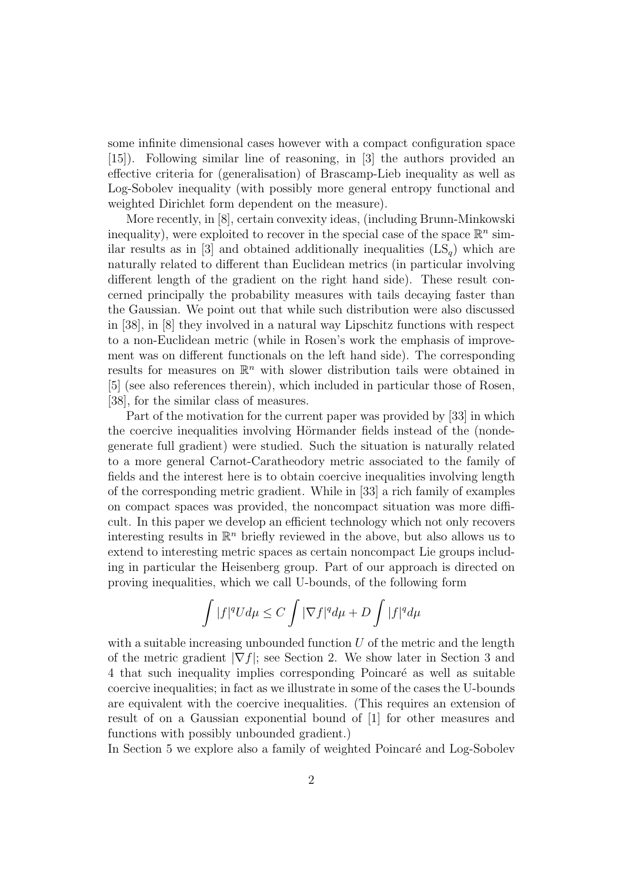some infinite dimensional cases however with a compact configuration space [15]). Following similar line of reasoning, in [3] the authors provided an effective criteria for (generalisation) of Brascamp-Lieb inequality as well as Log-Sobolev inequality (with possibly more general entropy functional and weighted Dirichlet form dependent on the measure).

More recently, in [8], certain convexity ideas, (including Brunn-Minkowski inequality), were exploited to recover in the special case of the space  $\mathbb{R}^n$  similar results as in [3] and obtained additionally inequalities  $(LS_q)$  which are naturally related to different than Euclidean metrics (in particular involving different length of the gradient on the right hand side). These result concerned principally the probability measures with tails decaying faster than the Gaussian. We point out that while such distribution were also discussed in [38], in [8] they involved in a natural way Lipschitz functions with respect to a non-Euclidean metric (while in Rosen's work the emphasis of improvement was on different functionals on the left hand side). The corresponding results for measures on  $\mathbb{R}^n$  with slower distribution tails were obtained in [5] (see also references therein), which included in particular those of Rosen, [38], for the similar class of measures.

Part of the motivation for the current paper was provided by [33] in which the coercive inequalities involving Hörmander fields instead of the (nondegenerate full gradient) were studied. Such the situation is naturally related to a more general Carnot-Caratheodory metric associated to the family of fields and the interest here is to obtain coercive inequalities involving length of the corresponding metric gradient. While in [33] a rich family of examples on compact spaces was provided, the noncompact situation was more difficult. In this paper we develop an efficient technology which not only recovers interesting results in  $\mathbb{R}^n$  briefly reviewed in the above, but also allows us to extend to interesting metric spaces as certain noncompact Lie groups including in particular the Heisenberg group. Part of our approach is directed on proving inequalities, which we call U-bounds, of the following form

$$
\int |f|^q U d\mu \leq C \int |\nabla f|^q d\mu + D \int |f|^q d\mu
$$

with a suitable increasing unbounded function  $U$  of the metric and the length of the metric gradient  $|\nabla f|$ ; see Section 2. We show later in Section 3 and 4 that such inequality implies corresponding Poincaré as well as suitable coercive inequalities; in fact as we illustrate in some of the cases the U-bounds are equivalent with the coercive inequalities. (This requires an extension of result of on a Gaussian exponential bound of [1] for other measures and functions with possibly unbounded gradient.)

In Section 5 we explore also a family of weighted Poincaré and Log-Sobolev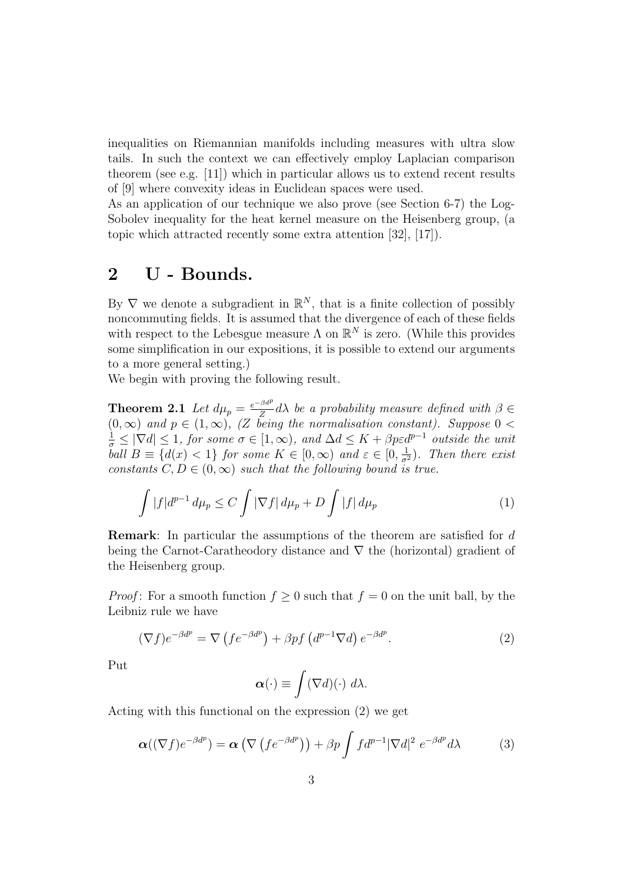inequalities on Riemannian manifolds including measures with ultra slow tails. In such the context we can effectively employ Laplacian comparison theorem (see e.g. [11]) which in particular allows us to extend recent results of [9] where convexity ideas in Euclidean spaces were used.

As an application of our technique we also prove (see Section 6-7) the Log-Sobolev inequality for the heat kernel measure on the Heisenberg group, (a topic which attracted recently some extra attention [32], [17]).

### 2 U - Bounds.

By  $\nabla$  we denote a subgradient in  $\mathbb{R}^N$ , that is a finite collection of possibly noncommuting fields. It is assumed that the divergence of each of these fields with respect to the Lebesgue measure  $\Lambda$  on  $\mathbb{R}^N$  is zero. (While this provides some simplification in our expositions, it is possible to extend our arguments to a more general setting.)

We begin with proving the following result.

**Theorem 2.1** Let  $d\mu_p = \frac{e^{-\beta d^p}}{Z}$  $\frac{\partial a}{\partial \sigma} d\lambda$  be a probability measure defined with  $\beta \in$  $(0, \infty)$  and  $p \in (1, \infty)$ , (Z being the normalisation constant). Suppose  $0 <$  $\frac{1}{\sigma} \leq |\nabla d| \leq 1$ , for some  $\sigma \in [1,\infty)$ , and  $\Delta d \leq K + \beta p \varepsilon d^{p-1}$  outside the unit ball  $B \equiv \{d(x) < 1\}$  for some  $K \in [0, \infty)$  and  $\varepsilon \in [0, \frac{1}{\sigma^2})$ . Then there exist constants  $C, D \in (0, \infty)$  such that the following bound is true.

$$
\int |f|d^{p-1} d\mu_p \le C \int |\nabla f| d\mu_p + D \int |f| d\mu_p \tag{1}
$$

Remark: In particular the assumptions of the theorem are satisfied for d being the Carnot-Caratheodory distance and ∇ the (horizontal) gradient of the Heisenberg group.

*Proof*: For a smooth function  $f \geq 0$  such that  $f = 0$  on the unit ball, by the Leibniz rule we have

$$
(\nabla f)e^{-\beta d^p} = \nabla \left( f e^{-\beta d^p} \right) + \beta p f \left( d^{p-1} \nabla d \right) e^{-\beta d^p}.
$$
 (2)

Put

$$
\boldsymbol{\alpha}(\cdot) \equiv \int (\nabla d)(\cdot) \; d\lambda.
$$

Acting with this functional on the expression (2) we get

$$
\boldsymbol{\alpha}((\nabla f)e^{-\beta d^p}) = \boldsymbol{\alpha}\left(\nabla \left( f e^{-\beta d^p} \right) \right) + \beta p \int f d^{p-1} |\nabla d|^2 \ e^{-\beta d^p} d\lambda \tag{3}
$$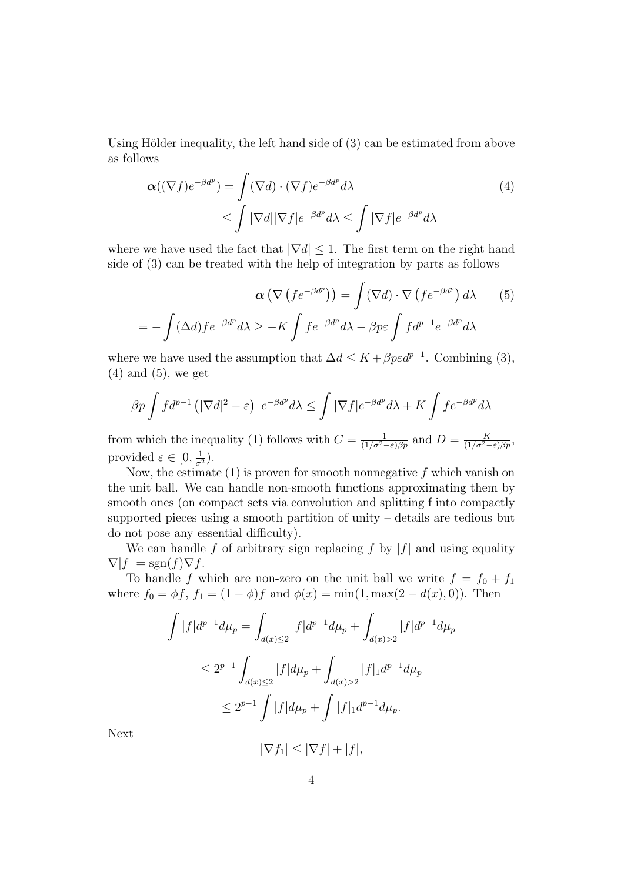Using Hölder inequality, the left hand side of  $(3)$  can be estimated from above as follows

$$
\alpha((\nabla f)e^{-\beta d^p}) = \int (\nabla d) \cdot (\nabla f)e^{-\beta d^p} d\lambda
$$
  
 
$$
\leq \int |\nabla d| |\nabla f|e^{-\beta d^p} d\lambda \leq \int |\nabla f|e^{-\beta d^p} d\lambda
$$
 (4)

where we have used the fact that  $|\nabla d| \leq 1$ . The first term on the right hand side of (3) can be treated with the help of integration by parts as follows

$$
\alpha \left( \nabla \left( f e^{-\beta d^p} \right) \right) = \int (\nabla d) \cdot \nabla \left( f e^{-\beta d^p} \right) d\lambda \qquad (5)
$$

$$
= - \int (\Delta d) f e^{-\beta d^p} d\lambda \ge -K \int f e^{-\beta d^p} d\lambda - \beta p \varepsilon \int f d^{p-1} e^{-\beta d^p} d\lambda
$$

where we have used the assumption that  $\Delta d \leq K + \beta p \epsilon d^{p-1}$ . Combining (3),  $(4)$  and  $(5)$ , we get

$$
\beta p \int f d^{p-1} \left( |\nabla d|^2 - \varepsilon \right) e^{-\beta d^p} d\lambda \le \int |\nabla f| e^{-\beta d^p} d\lambda + K \int f e^{-\beta d^p} d\lambda
$$

from which the inequality (1) follows with  $C = \frac{1}{(1/\sigma^2 - \varepsilon)\beta p}$  and  $D = \frac{K}{(1/\sigma^2 - \varepsilon)\beta p}$ , provided  $\varepsilon \in [0, \frac{1}{\sigma^2})$ .

Now, the estimate  $(1)$  is proven for smooth nonnegative f which vanish on the unit ball. We can handle non-smooth functions approximating them by smooth ones (on compact sets via convolution and splitting f into compactly supported pieces using a smooth partition of unity – details are tedious but do not pose any essential difficulty).

We can handle f of arbitrary sign replacing f by  $|f|$  and using equality  $\nabla|f| = \text{sgn}(f)\nabla f.$ 

To handle f which are non-zero on the unit ball we write  $f = f_0 + f_1$ where  $f_0 = \phi f$ ,  $f_1 = (1 - \phi)f$  and  $\phi(x) = \min(1, \max(2 - d(x), 0)).$  Then

$$
\int |f|d^{p-1}d\mu_p = \int_{d(x)\leq 2} |f|d^{p-1}d\mu_p + \int_{d(x)>2} |f|d^{p-1}d\mu_p
$$
  
\n
$$
\leq 2^{p-1} \int_{d(x)\leq 2} |f|d\mu_p + \int_{d(x)>2} |f|_1 d^{p-1}d\mu_p
$$
  
\n
$$
\leq 2^{p-1} \int |f|d\mu_p + \int |f|_1 d^{p-1}d\mu_p.
$$

Next

 $|\nabla f_1| \leq |\nabla f| + |f|,$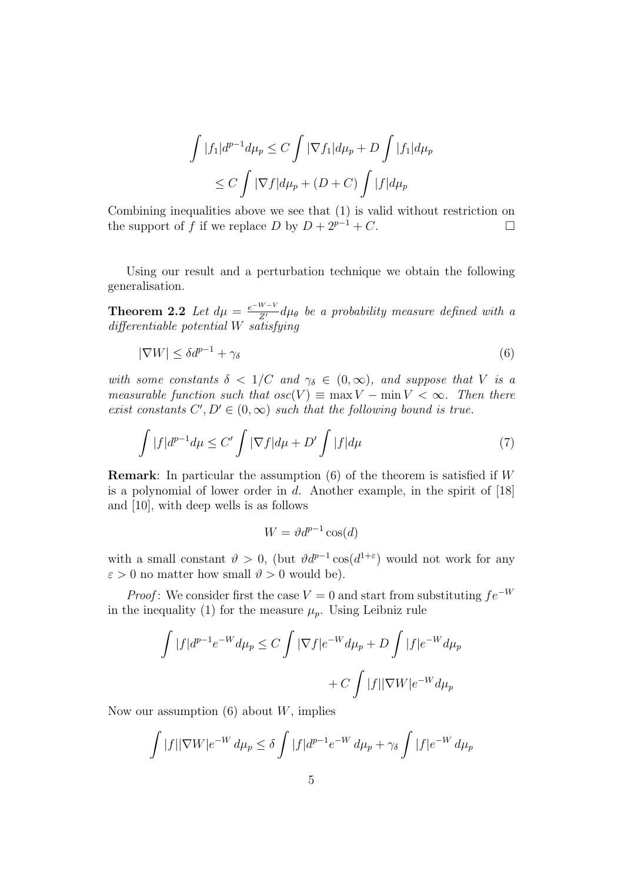$$
\int |f_1|d^{p-1}d\mu_p \le C \int |\nabla f_1|d\mu_p + D \int |f_1|d\mu_p
$$
  
\n
$$
\le C \int |\nabla f|d\mu_p + (D+C) \int |f|d\mu_p
$$

Combining inequalities above we see that (1) is valid without restriction on the support of f if we replace D by  $D + 2^{p-1} + C$ .

Using our result and a perturbation technique we obtain the following generalisation.

**Theorem 2.2** Let  $d\mu = \frac{e^{-W-V}}{Z'} d\mu_{\theta}$  be a probability measure defined with a differentiable potential W satisfying

$$
|\nabla W| \le \delta d^{p-1} + \gamma_{\delta} \tag{6}
$$

with some constants  $\delta < 1/C$  and  $\gamma_{\delta} \in (0,\infty)$ , and suppose that V is a measurable function such that  $osc(V) \equiv \max V - \min V < \infty$ . Then there exist constants  $C', D' \in (0, \infty)$  such that the following bound is true.

$$
\int |f|d^{p-1}d\mu \le C' \int |\nabla f|d\mu + D' \int |f|d\mu \tag{7}
$$

**Remark:** In particular the assumption  $(6)$  of the theorem is satisfied if W is a polynomial of lower order in d. Another example, in the spirit of  $[18]$ and [10], with deep wells is as follows

$$
W = \vartheta d^{p-1} \cos(d)
$$

with a small constant  $\vartheta > 0$ , (but  $\vartheta d^{p-1} \cos(d^{1+\epsilon})$  would not work for any  $\varepsilon > 0$  no matter how small  $\vartheta > 0$  would be).

*Proof*: We consider first the case  $V = 0$  and start from substituting  $fe^{-W}$ in the inequality (1) for the measure  $\mu_p$ . Using Leibniz rule

$$
\int |f|d^{p-1}e^{-W}d\mu_p \le C \int |\nabla f|e^{-W}d\mu_p + D \int |f|e^{-W}d\mu_p
$$
  
+  $C \int |f||\nabla W|e^{-W}d\mu_p$ 

Now our assumption  $(6)$  about W, implies

$$
\int |f| |\nabla W| e^{-W} d\mu_p \le \delta \int |f| d^{p-1} e^{-W} d\mu_p + \gamma_\delta \int |f| e^{-W} d\mu_p
$$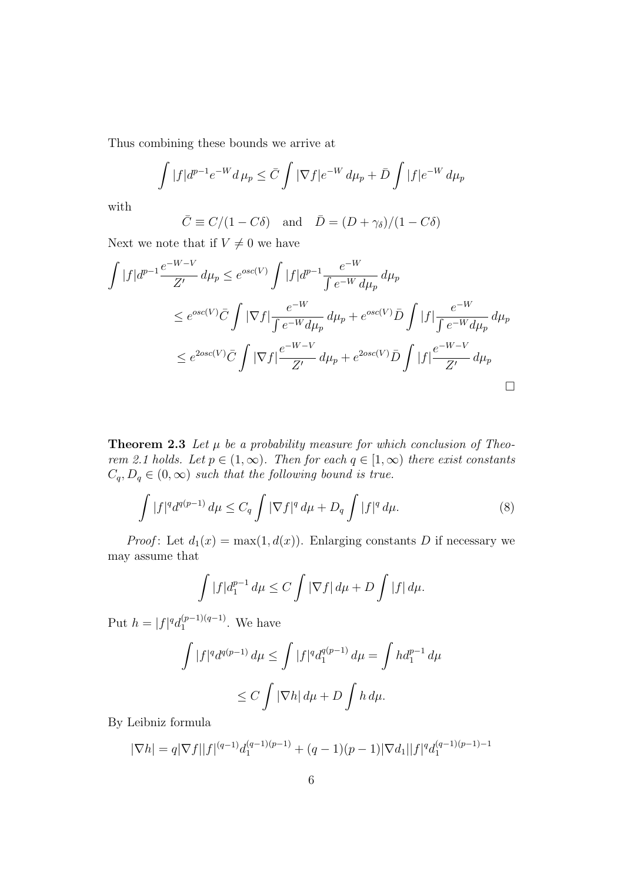Thus combining these bounds we arrive at

$$
\int |f|d^{p-1}e^{-W}d\mu_p \leq \bar{C} \int |\nabla f|e^{-W}d\mu_p + \bar{D} \int |f|e^{-W}d\mu_p
$$

with

$$
\bar{C} \equiv C/(1 - C\delta)
$$
 and  $\bar{D} = (D + \gamma_{\delta})/(1 - C\delta)$ 

Next we note that if  $V \neq 0$  we have

$$
\int |f|d^{p-1} \frac{e^{-W-V}}{Z'} d\mu_p \le e^{osc(V)} \int |f|d^{p-1} \frac{e^{-W}}{\int e^{-W} d\mu_p} d\mu_p
$$
  
\n
$$
\le e^{osc(V)} \bar{C} \int |\nabla f| \frac{e^{-W}}{\int e^{-W} d\mu_p} d\mu_p + e^{osc(V)} \bar{D} \int |f| \frac{e^{-W}}{\int e^{-W} d\mu_p} d\mu_p
$$
  
\n
$$
\le e^{2osc(V)} \bar{C} \int |\nabla f| \frac{e^{-W-V}}{Z'} d\mu_p + e^{2osc(V)} \bar{D} \int |f| \frac{e^{-W-V}}{Z'} d\mu_p
$$

**Theorem 2.3** Let  $\mu$  be a probability measure for which conclusion of Theorem 2.1 holds. Let  $p \in (1,\infty)$ . Then for each  $q \in [1,\infty)$  there exist constants  $C_q, D_q \in (0, \infty)$  such that the following bound is true.

$$
\int |f|^q d^{q(p-1)} d\mu \le C_q \int |\nabla f|^q d\mu + D_q \int |f|^q d\mu. \tag{8}
$$

*Proof*: Let  $d_1(x) = \max(1, d(x))$ . Enlarging constants D if necessary we may assume that

$$
\int |f|d_1^{p-1} d\mu \le C \int |\nabla f| d\mu + D \int |f| d\mu.
$$

Put  $h = |f|^{q} d_1^{(p-1)(q-1)}$  $1^{(p-1)(q-1)}$ . We have

$$
\int |f|^q d^{q(p-1)} d\mu \le \int |f|^q d_1^{q(p-1)} d\mu = \int h d_1^{p-1} d\mu
$$
  

$$
\le C \int |\nabla h| d\mu + D \int h d\mu.
$$

By Leibniz formula

$$
|\nabla h| = q|\nabla f||f|^{(q-1)}d_1^{(q-1)(p-1)} + (q-1)(p-1)|\nabla d_1||f|^q d_1^{(q-1)(p-1)-1}
$$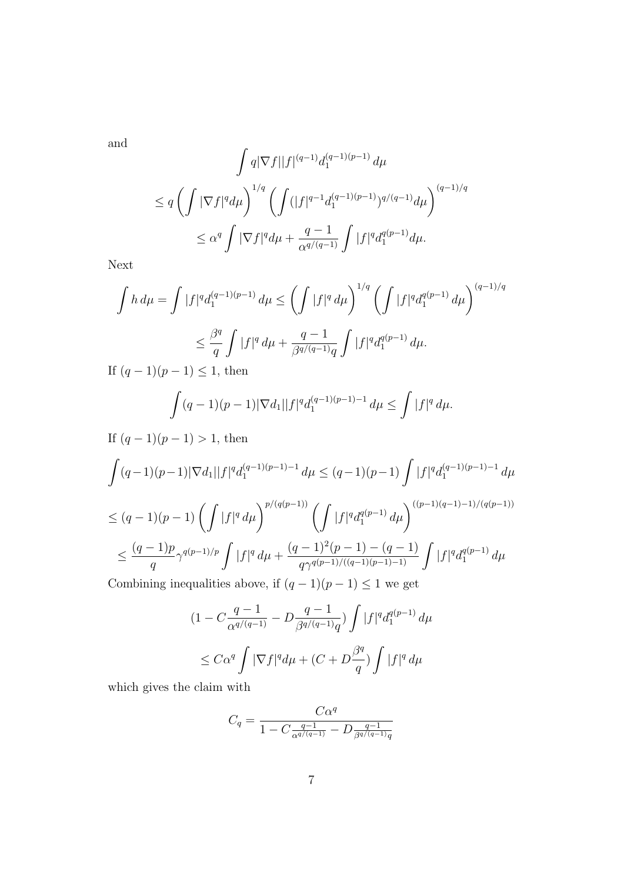and

$$
\int q |\nabla f||f|^{(q-1)} d_1^{(q-1)(p-1)} d\mu
$$
\n
$$
\leq q \left( \int |\nabla f|^q d\mu \right)^{1/q} \left( \int (|f|^{q-1} d_1^{(q-1)(p-1)})^{q/(q-1)} d\mu \right)^{(q-1)/q}
$$
\n
$$
\leq \alpha^q \int |\nabla f|^q d\mu + \frac{q-1}{\alpha^{q/(q-1)}} \int |f|^q d_1^{q(p-1)} d\mu.
$$

Next

$$
\int h \, d\mu = \int |f|^q d_1^{(q-1)(p-1)} \, d\mu \le \left( \int |f|^q \, d\mu \right)^{1/q} \left( \int |f|^q d_1^{q(p-1)} \, d\mu \right)^{(q-1)/q}
$$
\n
$$
\le \frac{\beta^q}{q} \int |f|^q \, d\mu + \frac{q-1}{\beta^{q/(q-1)}q} \int |f|^q d_1^{q(p-1)} \, d\mu.
$$
\nIf  $(q-1)(p-1) \le 1$ , then

If  $(q-1)(p-1) \leq 1$ , then

$$
\int (q-1)(p-1)|\nabla d_1||f|^q d_1^{(q-1)(p-1)-1} d\mu \le \int |f|^q d\mu.
$$

If  $(q-1)(p-1) > 1$ , then  $\int (q-1)(p-1)|\nabla d_1||f|^q d_1^{(q-1)(p-1)-1} \, d\mu \leq (q-1)(p-1) \, \int |f|^q d_1^{(q-1)(p-1)-1} \, d\mu$  $\leq (q-1)(p-1)\left(\int |f|^q d\mu\right)^{p/(q(p-1))}\left(\int |f|^q d_1^{q(p-1)}\right)$  $\left.\begin{array}{c} q(p-1)\ d\mu\end{array}\right)^{((p-1)(q-1)-1)/(q(p-1))}$  $\leq \frac{(q-1)p}{q}$ q  $\gamma^{q(p-1)/p} \int |f|^q d\mu +$  $\frac{(q-1)^2(p-1)-(q-1)}{q\gamma^{q(p-1)/((q-1)(p-1)-1)}}\int |f|^q d_1^{q(p-1)} d\mu$ 

Combining inequalities above, if  $(q-1)(p-1) \leq 1$  we get

$$
(1 - C \frac{q-1}{\alpha^{q/(q-1)}} - D \frac{q-1}{\beta^{q/(q-1)}q}) \int |f|^q d_1^{q(p-1)} d\mu
$$
  
\$\leq C\alpha^q \int |\nabla f|^q d\mu + (C + D\frac{\beta^q}{q}) \int |f|^q d\mu\$

which gives the claim with

$$
C_q = \frac{C\alpha^q}{1 - C\frac{q-1}{\alpha^{q/(q-1)}} - D\frac{q-1}{\beta^{q/(q-1)}q}}
$$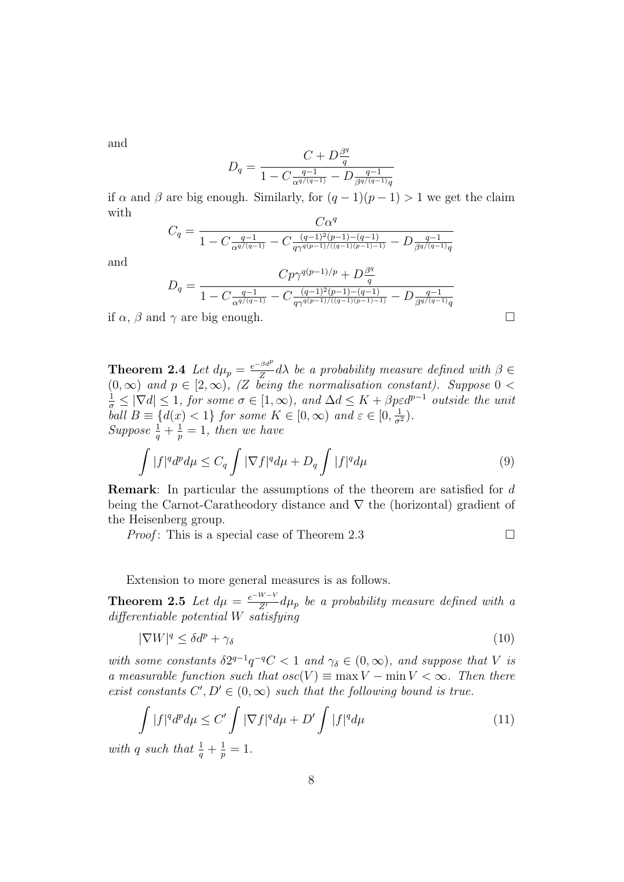and

$$
D_q = \frac{C + D\frac{\beta^q}{q}}{1 - C\frac{q-1}{\alpha^{q/(q-1)}} - D\frac{q-1}{\beta^{q/(q-1)}q}}
$$

if  $\alpha$  and  $\beta$  are big enough. Similarly, for  $(q-1)(p-1) > 1$  we get the claim with  $C_{\alpha}q$ 

$$
C_q = \frac{C\alpha^2}{1 - C\frac{q-1}{\alpha^{q/(q-1)}} - C\frac{(q-1)^2(p-1) - (q-1)}{q\gamma^{q(p-1)/(q-1)(p-1)-1}} - D\frac{q-1}{\beta^{q/(q-1)}q}}
$$

and

$$
D_q=\frac{Cp\gamma^{q(p-1)/p}+D\frac{\beta^q}{q}}{1-C\frac{q-1}{\alpha^{q/(q-1)}}-C\frac{(q-1)^2(p-1)-(q-1)}{q\gamma^{q(p-1)/((q-1)(p-1)-1)}}-D\frac{q-1}{\beta^{q/(q-1)}q}}
$$

if  $\alpha$ ,  $\beta$  and  $\gamma$  are big enough.

**Theorem 2.4** Let  $d\mu_p = \frac{e^{-\beta d^p}}{Z}$  $\frac{\partial a}{\partial \sigma} d\lambda$  be a probability measure defined with  $\beta \in$  $(0, \infty)$  and  $p \in [2, \infty)$ , (Z being the normalisation constant). Suppose  $0 <$  $\frac{1}{\sigma} \leq |\nabla d| \leq 1$ , for some  $\sigma \in [1,\infty)$ , and  $\Delta d \leq K + \beta p \varepsilon d^{p-1}$  outside the unit ball  $B \equiv \{d(x) < 1\}$  for some  $K \in [0, \infty)$  and  $\varepsilon \in [0, \frac{1}{\sigma^2})$ . Suppose  $\frac{1}{q} + \frac{1}{p}$  $\frac{1}{p} = 1$ , then we have

$$
\int |f|^q d^p d\mu \le C_q \int |\nabla f|^q d\mu + D_q \int |f|^q d\mu \tag{9}
$$

Remark: In particular the assumptions of the theorem are satisfied for d being the Carnot-Caratheodory distance and ∇ the (horizontal) gradient of the Heisenberg group.

*Proof*: This is a special case of Theorem 2.3

Extension to more general measures is as follows.

**Theorem 2.5** Let  $d\mu = \frac{e^{-W-V}}{Z'} d\mu_p$  be a probability measure defined with a differentiable potential W satisfying

$$
|\nabla W|^q \le \delta d^p + \gamma_\delta \tag{10}
$$

with some constants  $\delta 2^{q-1}q^{-q}C < 1$  and  $\gamma_{\delta} \in (0, \infty)$ , and suppose that V is a measurable function such that  $osc(V) \equiv \max V - \min V < \infty$ . Then there exist constants  $C', D' \in (0, \infty)$  such that the following bound is true.

$$
\int |f|^q d^p d\mu \le C' \int |\nabla f|^q d\mu + D' \int |f|^q d\mu \tag{11}
$$

with q such that  $\frac{1}{q} + \frac{1}{p}$  $\frac{1}{p} = 1.$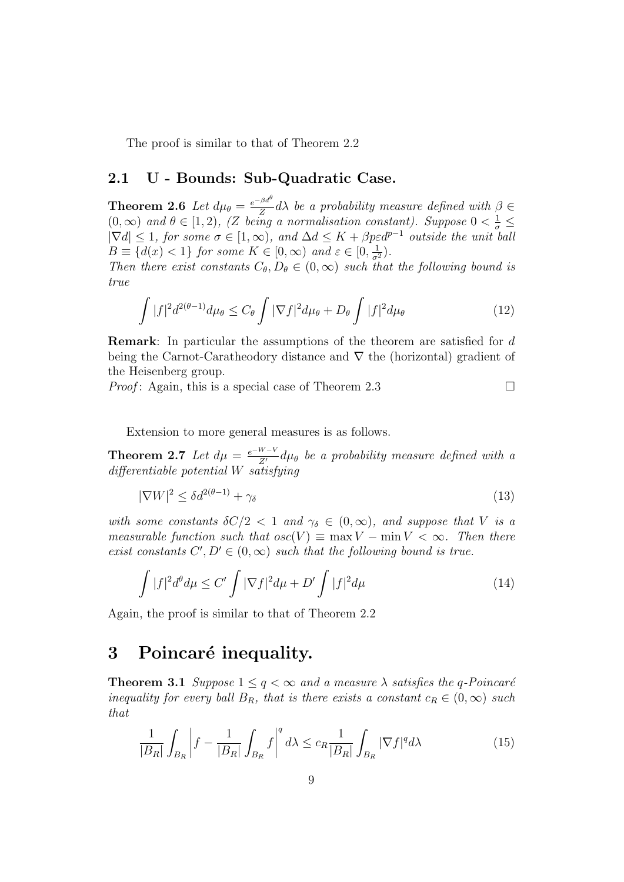The proof is similar to that of Theorem 2.2

#### 2.1 U - Bounds: Sub-Quadratic Case.

**Theorem 2.6** Let  $d\mu_{\theta} = \frac{e^{-\beta d^{\theta}}}{Z}$  $\frac{\partial u}{\partial \sigma} d\lambda$  be a probability measure defined with  $\beta \in$  $(0, \infty)$  and  $\theta \in [1, 2)$ , (Z being a normalisation constant). Suppose  $0 < \frac{1}{\sigma} \leq$  $|\nabla d| \leq 1$ , for some  $\sigma \in [1,\infty)$ , and  $\Delta d \leq K + \beta p \varepsilon d^{p-1}$  outside the unit ball  $B \equiv \{d(x) < 1\}$  for some  $K \in [0, \infty)$  and  $\varepsilon \in [0, \frac{1}{\sigma^2})$ .

Then there exist constants  $C_{\theta}, D_{\theta} \in (0, \infty)$  such that the following bound is true

$$
\int |f|^2 d^{2(\theta-1)} d\mu_{\theta} \le C_{\theta} \int |\nabla f|^2 d\mu_{\theta} + D_{\theta} \int |f|^2 d\mu_{\theta} \tag{12}
$$

Remark: In particular the assumptions of the theorem are satisfied for d being the Carnot-Caratheodory distance and  $\nabla$  the (horizontal) gradient of the Heisenberg group.

*Proof*: Again, this is a special case of Theorem 2.3

$$
\qquad \qquad \Box
$$

Extension to more general measures is as follows.

**Theorem 2.7** Let  $d\mu = \frac{e^{-W-V}}{Z'} d\mu_{\theta}$  be a probability measure defined with a differentiable potential W satisfying

$$
|\nabla W|^2 \le \delta d^{2(\theta - 1)} + \gamma_\delta \tag{13}
$$

with some constants  $\delta C/2 < 1$  and  $\gamma_{\delta} \in (0,\infty)$ , and suppose that V is a measurable function such that  $osc(V) \equiv \max V - \min V < \infty$ . Then there exist constants  $C', D' \in (0, \infty)$  such that the following bound is true.

$$
\int |f|^2 d^{\theta} d\mu \le C' \int |\nabla f|^2 d\mu + D' \int |f|^2 d\mu \tag{14}
$$

Again, the proof is similar to that of Theorem 2.2

### 3 Poincaré inequality.

**Theorem 3.1** Suppose  $1 \leq q < \infty$  and a measure  $\lambda$  satisfies the q-Poincaré inequality for every ball  $B_R$ , that is there exists a constant  $c_R \in (0,\infty)$  such that

$$
\frac{1}{|B_R|} \int_{B_R} \left| f - \frac{1}{|B_R|} \int_{B_R} f \right|^q d\lambda \le c_R \frac{1}{|B_R|} \int_{B_R} |\nabla f|^q d\lambda \tag{15}
$$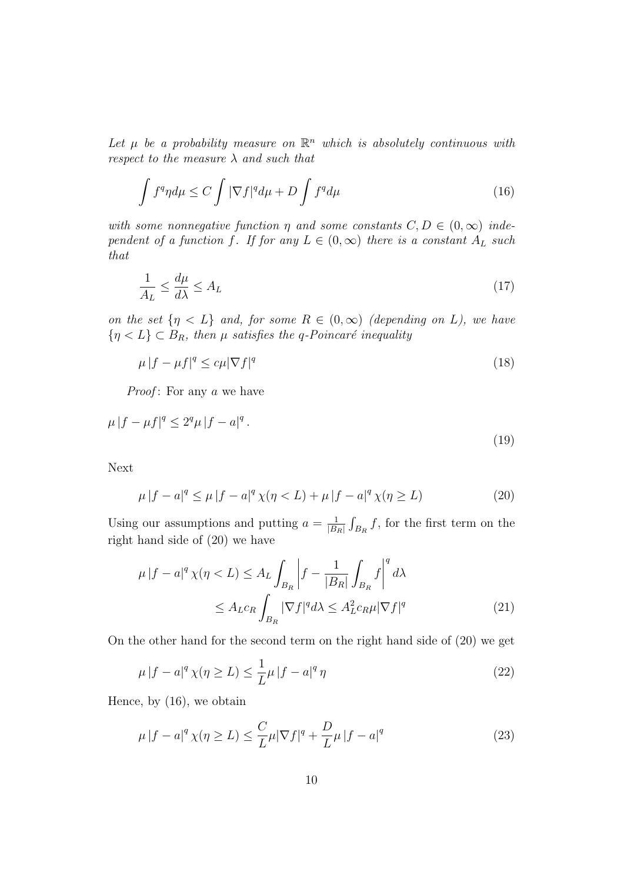Let  $\mu$  be a probability measure on  $\mathbb{R}^n$  which is absolutely continuous with respect to the measure  $\lambda$  and such that

$$
\int f^q \eta d\mu \le C \int |\nabla f|^q d\mu + D \int f^q d\mu \tag{16}
$$

with some nonnegative function  $\eta$  and some constants  $C, D \in (0, \infty)$  independent of a function f. If for any  $L \in (0,\infty)$  there is a constant  $A_L$  such that

$$
\frac{1}{A_L} \le \frac{d\mu}{d\lambda} \le A_L \tag{17}
$$

on the set  $\{\eta \leq L\}$  and, for some  $R \in (0,\infty)$  (depending on L), we have  $\{\eta < L\} \subset B_R$ , then  $\mu$  satisfies the q-Poincaré inequality

$$
\mu |f - \mu f|^q \leq c\mu |\nabla f|^q \tag{18}
$$

*Proof*: For any  $a$  we have

$$
\mu |f - \mu f|^q \le 2^q \mu |f - a|^q. \tag{19}
$$

Next

$$
\mu |f - a|^q \le \mu |f - a|^q \chi(\eta < L) + \mu |f - a|^q \chi(\eta \ge L) \tag{20}
$$

Using our assumptions and putting  $a = \frac{1}{18}$  $\frac{1}{|B_R|} \int_{B_R} f$ , for the first term on the right hand side of (20) we have

$$
\mu |f - a|^q \chi(\eta < L) \le A_L \int_{B_R} \left| f - \frac{1}{|B_R|} \int_{B_R} f \right|^q d\lambda
$$
\n
$$
\le A_L c_R \int_{B_R} |\nabla f|^q d\lambda \le A_L^2 c_R \mu |\nabla f|^q \tag{21}
$$

On the other hand for the second term on the right hand side of (20) we get

$$
\mu |f - a|^q \chi(\eta \ge L) \le \frac{1}{L} \mu |f - a|^q \eta \tag{22}
$$

Hence, by (16), we obtain

$$
\mu |f - a|^q \chi(\eta \ge L) \le \frac{C}{L} \mu |\nabla f|^q + \frac{D}{L} \mu |f - a|^q \tag{23}
$$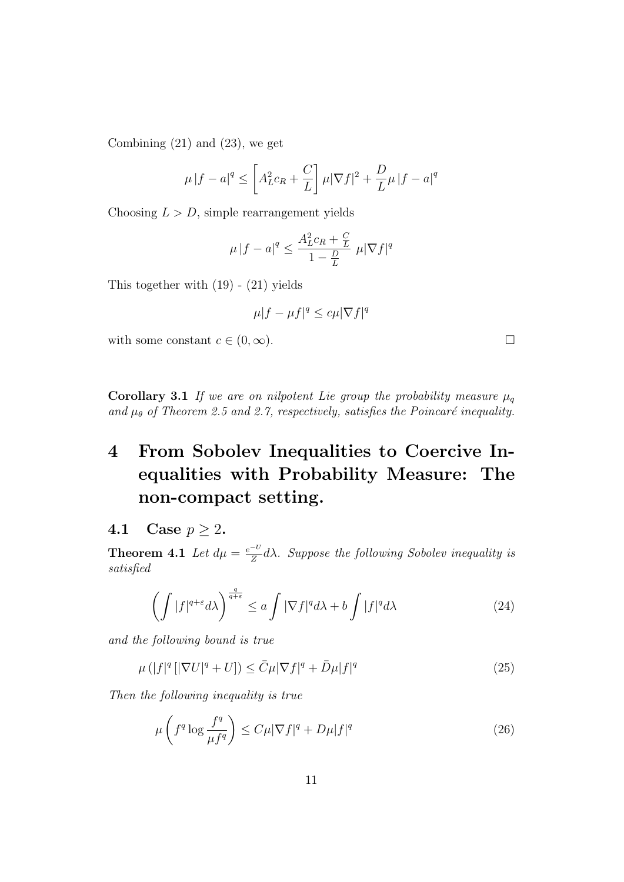Combining  $(21)$  and  $(23)$ , we get

$$
\mu |f - a|^q \le \left[ A_L^2 c_R + \frac{C}{L} \right] \mu |\nabla f|^2 + \frac{D}{L} \mu |f - a|^q
$$

Choosing  $L > D$ , simple rearrangement yields

$$
\mu |f - a|^q \le \frac{A_L^2 c_R + \frac{C}{L}}{1 - \frac{D}{L}} \ \mu |\nabla f|^q
$$

This together with  $(19)$  -  $(21)$  yields

$$
\mu|f - \mu f|^q \leq c\mu|\nabla f|^q
$$

with some constant  $c \in (0, \infty)$ .

Corollary 3.1 If we are on nilpotent Lie group the probability measure  $\mu_q$ and  $\mu_{\theta}$  of Theorem 2.5 and 2.7, respectively, satisfies the Poincaré inequality.

## 4 From Sobolev Inequalities to Coercive Inequalities with Probability Measure: The non-compact setting.

#### 4.1 Case  $p \geq 2$ .

**Theorem 4.1** Let  $d\mu = \frac{e^{-U}}{Z}$  $\frac{-c}{Z}d\lambda$ . Suppose the following Sobolev inequality is satisfied

$$
\left(\int |f|^{q+\varepsilon} d\lambda\right)^{\frac{q}{q+\varepsilon}} \le a \int |\nabla f|^q d\lambda + b \int |f|^q d\lambda \tag{24}
$$

and the following bound is true

$$
\mu\left(|f|^q\left[|\nabla U|^q + U\right]\right) \le \bar{C}\mu|\nabla f|^q + \bar{D}\mu|f|^q \tag{25}
$$

Then the following inequality is true

$$
\mu\left(f^q \log \frac{f^q}{\mu f^q}\right) \le C\mu |\nabla f|^q + D\mu |f|^q \tag{26}
$$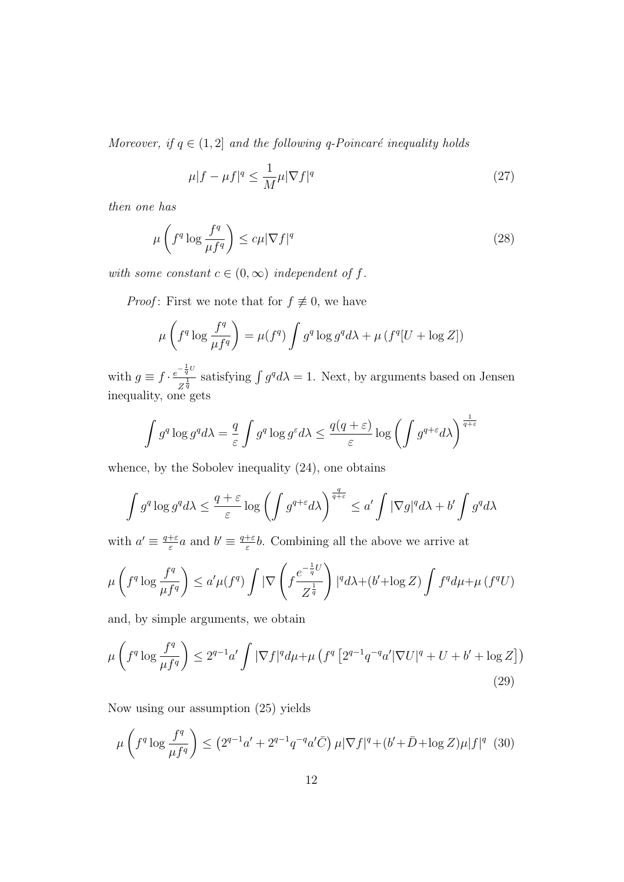Moreover, if  $q \in (1, 2]$  and the following q-Poincaré inequality holds

$$
\mu|f - \mu f|^q \le \frac{1}{M} \mu |\nabla f|^q \tag{27}
$$

then one has

$$
\mu\left(f^q \log \frac{f^q}{\mu f^q}\right) \le c\mu |\nabla f|^q \tag{28}
$$

with some constant  $c \in (0, \infty)$  independent of f.

*Proof*: First we note that for  $f \not\equiv 0$ , we have

$$
\mu\left(f^q \log \frac{f^q}{\mu f^q}\right) = \mu(f^q) \int g^q \log g^q d\lambda + \mu \left(f^q [U + \log Z]\right)
$$

with  $g \equiv f \cdot \frac{e^{-\frac{1}{q}U}}{1}$  $\frac{q}{z^{\frac{1}{q}}}$  satisfying  $\int g^q d\lambda = 1$ . Next, by arguments based on Jensen inequality, one gets

$$
\int g^q \log g^q d\lambda = \frac{q}{\varepsilon} \int g^q \log g^{\varepsilon} d\lambda \le \frac{q(q+\varepsilon)}{\varepsilon} \log \left( \int g^{q+\varepsilon} d\lambda \right)^{\frac{1}{q+\varepsilon}}
$$

whence, by the Sobolev inequality (24), one obtains

$$
\int g^q \log g^q d\lambda \le \frac{q+\varepsilon}{\varepsilon} \log \left( \int g^{q+\varepsilon} d\lambda \right)^{\frac{q}{q+\varepsilon}} \le a' \int |\nabla g|^q d\lambda + b' \int g^q d\lambda
$$

with  $a' \equiv \frac{q+\varepsilon}{\varepsilon}$  $\frac{1+\varepsilon}{\varepsilon}a$  and  $b' \equiv \frac{q+\varepsilon}{\varepsilon}$  $\frac{1}{\varepsilon}b$ . Combining all the above we arrive at

$$
\mu\left(f^q \log \frac{f^q}{\mu f^q}\right) \le a' \mu(f^q) \int |\nabla \left(f \frac{e^{-\frac{1}{q}U}}{Z^{\frac{1}{q}}}\right)|^q d\lambda + (b' + \log Z) \int f^q d\mu + \mu\left(f^q U\right)
$$

and, by simple arguments, we obtain

$$
\mu\left(f^{q}\log\frac{f^{q}}{\mu f^{q}}\right) \leq 2^{q-1}a'\int |\nabla f|^{q}d\mu + \mu\left(f^{q}\left[2^{q-1}q^{-q}a'|\nabla U|^{q} + U + b' + \log Z\right]\right)
$$
\n(29)

Now using our assumption (25) yields

$$
\mu\left(f^{q}\log\frac{f^{q}}{\mu f^{q}}\right) \leq \left(2^{q-1}a' + 2^{q-1}q^{-q}a'\bar{C}\right)\mu|\nabla f|^{q} + (b' + \bar{D} + \log Z)\mu|f|^{q} \tag{30}
$$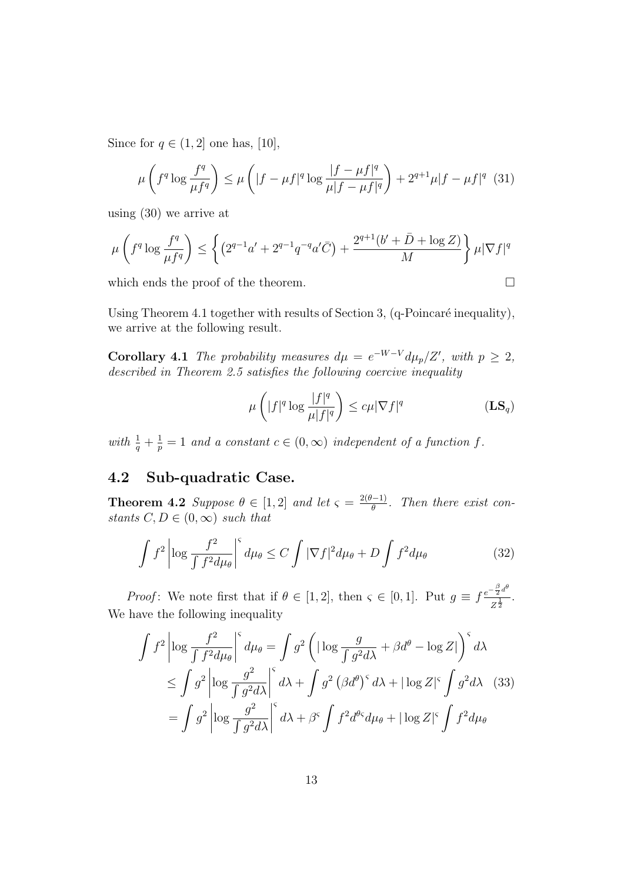Since for  $q \in (1, 2]$  one has, [10],

$$
\mu\left(f^q \log \frac{f^q}{\mu f^q}\right) \le \mu\left(|f - \mu f|^q \log \frac{|f - \mu f|^q}{\mu |f - \mu f|^q}\right) + 2^{q+1} \mu |f - \mu f|^q \tag{31}
$$

using (30) we arrive at

$$
\mu\left(f^{q} \log \frac{f^{q}}{\mu f^{q}}\right) \leq \left\{ \left(2^{q-1}a' + 2^{q-1}q^{-q}a'\bar{C}\right) + \frac{2^{q+1}(b' + \bar{D} + \log Z)}{M} \right\} \mu |\nabla f|^{q}
$$

which ends the proof of the theorem.  $\Box$ 

Using Theorem 4.1 together with results of Section 3,  $(q\text{-Poincaré inequality})$ , we arrive at the following result.

**Corollary 4.1** The probability measures  $d\mu = e^{-W-V} d\mu_p/Z'$ , with  $p \geq 2$ , described in Theorem 2.5 satisfies the following coercive inequality

$$
\mu\left(|f|^q \log \frac{|f|^q}{\mu |f|^q}\right) \le c\mu |\nabla f|^q \tag{LS_q}
$$

with  $\frac{1}{q} + \frac{1}{p}$  $\frac{1}{p} = 1$  and a constant  $c \in (0, \infty)$  independent of a function f.

#### 4.2 Sub-quadratic Case.

**Theorem 4.2** Suppose  $\theta \in [1,2]$  and let  $\varsigma = \frac{2(\theta-1)}{\theta}$  $\frac{(-1)}{\theta}$ . Then there exist constants  $C, D \in (0, \infty)$  such that

$$
\int f^2 \left| \log \frac{f^2}{\int f^2 d\mu_\theta} \right|^{\varsigma} d\mu_\theta \le C \int |\nabla f|^2 d\mu_\theta + D \int f^2 d\mu_\theta \tag{32}
$$

*Proof*: We note first that if  $\theta \in [1,2]$ , then  $\varsigma \in [0,1]$ . Put  $g \equiv f \frac{e^{-\frac{\beta}{2}d\theta}}{1}$  $\frac{2}{Z^{\frac{1}{2}}}.$ We have the following inequality

$$
\int f^2 \left| \log \frac{f^2}{\int f^2 d\mu_\theta} \right|^5 d\mu_\theta = \int g^2 \left( |\log \frac{g}{\int g^2 d\lambda} + \beta d^\theta - \log Z| \right)^5 d\lambda
$$
  
\n
$$
\leq \int g^2 \left| \log \frac{g^2}{\int g^2 d\lambda} \right|^5 d\lambda + \int g^2 (\beta d^\theta)^5 d\lambda + |\log Z|^5 \int g^2 d\lambda \quad (33)
$$
  
\n
$$
= \int g^2 \left| \log \frac{g^2}{\int g^2 d\lambda} \right|^5 d\lambda + \beta^5 \int f^2 d^6 d\mu_\theta + |\log Z|^5 \int f^2 d\mu_\theta
$$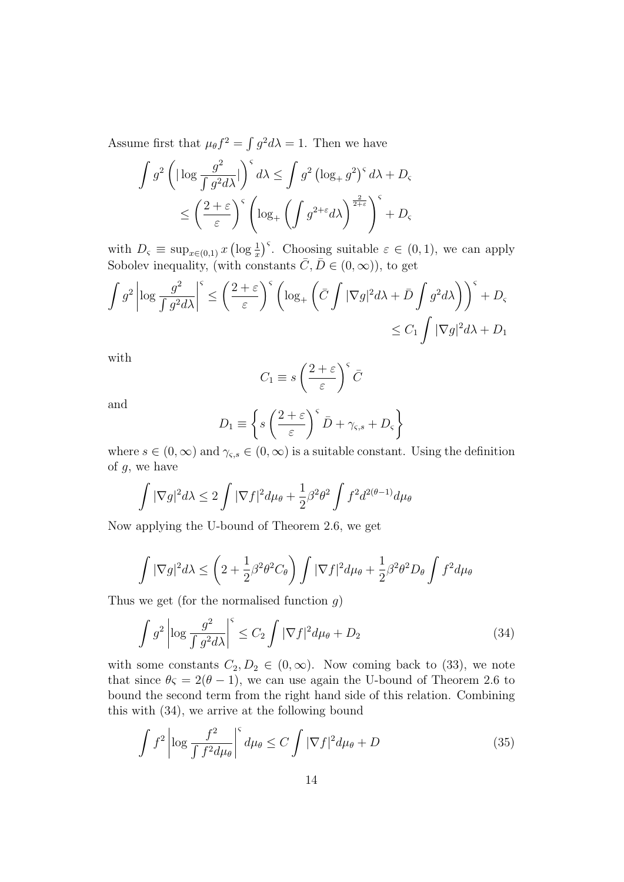Assume first that  $\mu_{\theta} f^2 = \int g^2 d\lambda = 1$ . Then we have

$$
\int g^2 \left( |\log \frac{g^2}{\int g^2 d\lambda} | \right)^{\varsigma} d\lambda \le \int g^2 \left( \log_+ g^2 \right)^{\varsigma} d\lambda + D_{\varsigma}
$$
  

$$
\le \left( \frac{2+\varepsilon}{\varepsilon} \right)^{\varsigma} \left( \log_+ \left( \int g^{2+\varepsilon} d\lambda \right)^{\frac{2}{2+\varepsilon}} \right)^{\varsigma} + D_{\varsigma}
$$

with  $D_{\varsigma} \equiv \sup_{x \in (0,1)} x \left( \log \frac{1}{x} \right)^{\varsigma}$ . Choosing suitable  $\varepsilon \in (0,1)$ , we can apply Sobolev inequality, (with constants  $\overline{C}, \overline{D} \in (0, \infty)$ ), to get

$$
\int g^2 \left| \log \frac{g^2}{\int g^2 d\lambda} \right|^{\varsigma} \le \left( \frac{2+\varepsilon}{\varepsilon} \right)^{\varsigma} \left( \log_+\left( \bar{C} \int |\nabla g|^2 d\lambda + \bar{D} \int g^2 d\lambda \right) \right)^{\varsigma} + D_{\varsigma}
$$
  

$$
\le C_1 \int |\nabla g|^2 d\lambda + D_1
$$

with

$$
C_1 \equiv s \left(\frac{2+\varepsilon}{\varepsilon}\right)^{\varsigma} \bar{C}
$$

and

$$
D_1 \equiv \left\{ s \left( \frac{2+\varepsilon}{\varepsilon} \right)^{\varsigma} \bar{D} + \gamma_{\varsigma,s} + D_{\varsigma} \right\}
$$

where  $s \in (0, \infty)$  and  $\gamma_{\varsigma,s} \in (0, \infty)$  is a suitable constant. Using the definition of g, we have

$$
\int |\nabla g|^2 d\lambda \le 2 \int |\nabla f|^2 d\mu_{\theta} + \frac{1}{2} \beta^2 \theta^2 \int f^2 d^{2(\theta - 1)} d\mu_{\theta}
$$

Now applying the U-bound of Theorem 2.6, we get

$$
\int |\nabla g|^2 d\lambda \le \left(2 + \frac{1}{2}\beta^2 \theta^2 C_{\theta}\right) \int |\nabla f|^2 d\mu_{\theta} + \frac{1}{2}\beta^2 \theta^2 D_{\theta} \int f^2 d\mu_{\theta}
$$

Thus we get (for the normalised function  $g$ )

$$
\int g^2 \left| \log \frac{g^2}{\int g^2 d\lambda} \right|^{\varsigma} \le C_2 \int |\nabla f|^2 d\mu_{\theta} + D_2 \tag{34}
$$

with some constants  $C_2, D_2 \in (0, \infty)$ . Now coming back to (33), we note that since  $\theta \zeta = 2(\theta - 1)$ , we can use again the U-bound of Theorem 2.6 to bound the second term from the right hand side of this relation. Combining this with (34), we arrive at the following bound

$$
\int f^2 \left| \log \frac{f^2}{\int f^2 d\mu_\theta} \right|^s d\mu_\theta \le C \int |\nabla f|^2 d\mu_\theta + D \tag{35}
$$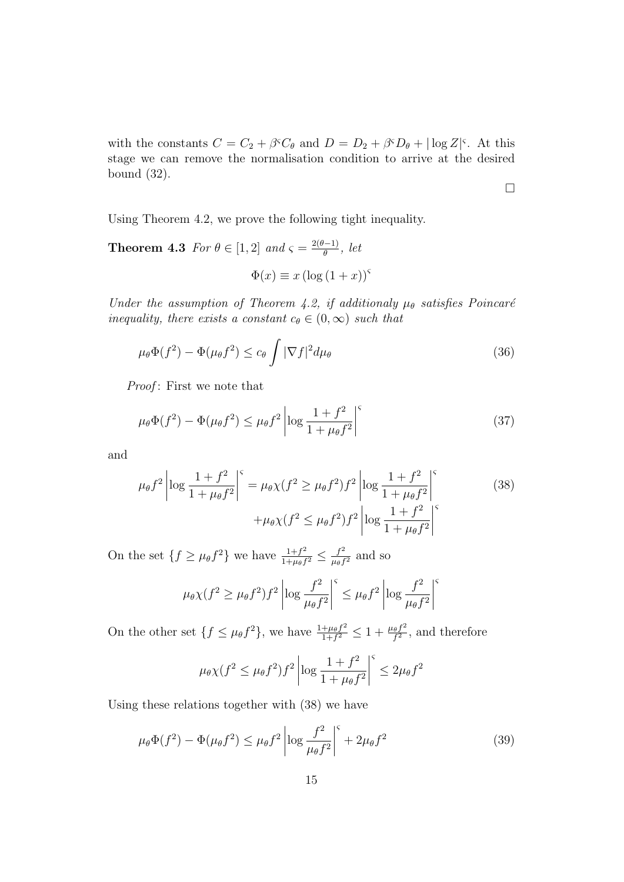with the constants  $C = C_2 + \beta^c C_\theta$  and  $D = D_2 + \beta^c D_\theta + |\log Z|^c$ . At this stage we can remove the normalisation condition to arrive at the desired bound (32).

 $\Box$ 

Using Theorem 4.2, we prove the following tight inequality.

**Theorem 4.3** For  $\theta \in [1,2]$  and  $\varsigma = \frac{2(\theta-1)}{\theta}$  $\frac{\theta^{(-1)}}{\theta}$ , let

$$
\Phi(x) \equiv x \left( \log \left( 1 + x \right) \right)^{\varsigma}
$$

Under the assumption of Theorem 4.2, if additionaly  $\mu_{\theta}$  satisfies Poincaré inequality, there exists a constant  $c_{\theta} \in (0, \infty)$  such that

$$
\mu_{\theta}\Phi(f^2) - \Phi(\mu_{\theta}f^2) \le c_{\theta} \int |\nabla f|^2 d\mu_{\theta}
$$
\n(36)

Proof: First we note that

$$
\mu_{\theta}\Phi(f^2) - \Phi(\mu_{\theta}f^2) \le \mu_{\theta}f^2 \left| \log \frac{1+f^2}{1+\mu_{\theta}f^2} \right|^{\varsigma} \tag{37}
$$

and

$$
\mu_{\theta} f^2 \left| \log \frac{1+f^2}{1+\mu_{\theta} f^2} \right|^{\varsigma} = \mu_{\theta} \chi(f^2 \ge \mu_{\theta} f^2) f^2 \left| \log \frac{1+f^2}{1+\mu_{\theta} f^2} \right|^{\varsigma} + \mu_{\theta} \chi(f^2 \le \mu_{\theta} f^2) f^2 \left| \log \frac{1+f^2}{1+\mu_{\theta} f^2} \right|^{\varsigma}
$$
\n(38)

On the set  $\{f \geq \mu_\theta f^2\}$  we have  $\frac{1+f^2}{1+\mu_\theta f^2}$  $\frac{1+f^2}{1+\mu_\theta f^2} \leq \frac{f^2}{\mu_\theta f}$  $\frac{f^2}{\mu_{\theta}f^2}$  and so

$$
\mu_{\theta} \chi(f^2 \ge \mu_{\theta} f^2) f^2 \left| \log \frac{f^2}{\mu_{\theta} f^2} \right|^{\varsigma} \le \mu_{\theta} f^2 \left| \log \frac{f^2}{\mu_{\theta} f^2} \right|^{\varsigma}
$$

On the other set  $\{f \leq \mu_\theta f^2\}$ , we have  $\frac{1+\mu_\theta f^2}{1+f^2}$  $\frac{+\mu_\theta f^2}{1+f^2}\leq 1+\frac{\mu_\theta f^2}{f^2}$  $\frac{\partial^2 f^2}{\partial t^2}$ , and therefore

$$
\mu_{\theta} \chi(f^2 \le \mu_{\theta} f^2) f^2 \left| \log \frac{1+f^2}{1+\mu_{\theta} f^2} \right|^{\varsigma} \le 2\mu_{\theta} f^2
$$

Using these relations together with (38) we have

$$
\mu_{\theta}\Phi(f^2) - \Phi(\mu_{\theta}f^2) \le \mu_{\theta}f^2 \left| \log \frac{f^2}{\mu_{\theta}f^2} \right|^{\varsigma} + 2\mu_{\theta}f^2 \tag{39}
$$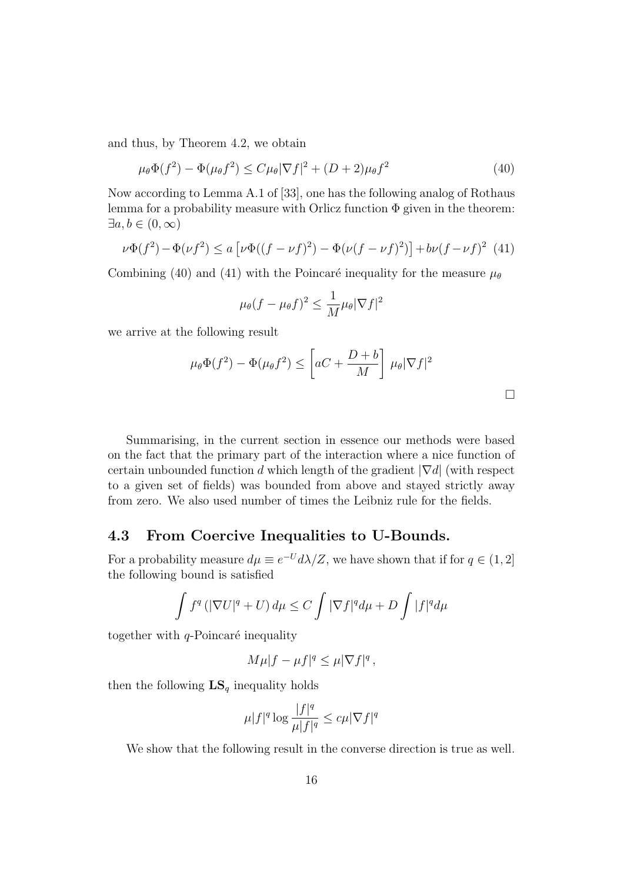and thus, by Theorem 4.2, we obtain

$$
\mu_{\theta}\Phi(f^2) - \Phi(\mu_{\theta}f^2) \le C\mu_{\theta}|\nabla f|^2 + (D+2)\mu_{\theta}f^2 \tag{40}
$$

Now according to Lemma A.1 of [33], one has the following analog of Rothaus lemma for a probability measure with Orlicz function  $\Phi$  given in the theorem:  $\exists a, b \in (0, \infty)$ 

$$
\nu\Phi(f^2) - \Phi(\nu f^2) \le a \left[ \nu\Phi((f - \nu f)^2) - \Phi(\nu (f - \nu f)^2) \right] + b\nu (f - \nu f)^2
$$
 (41)

Combining (40) and (41) with the Poincaré inequality for the measure  $\mu_{\theta}$ 

$$
\mu_{\theta}(f - \mu_{\theta}f)^2 \le \frac{1}{M}\mu_{\theta}|\nabla f|^2
$$

we arrive at the following result

$$
\mu_{\theta}\Phi(f^2) - \Phi(\mu_{\theta}f^2) \le \left[ aC + \frac{D+b}{M} \right] \mu_{\theta} |\nabla f|^2
$$

 $\Box$ 

| Summarising, in the current section in essence our methods were based                |
|--------------------------------------------------------------------------------------|
| on the fact that the primary part of the interaction where a nice function of        |
| certain unbounded function d which length of the gradient $ \nabla d $ (with respect |
| to a given set of fields) was bounded from above and stayed strictly away            |
| from zero. We also used number of times the Leibniz rule for the fields.             |

#### 4.3 From Coercive Inequalities to U-Bounds.

For a probability measure  $d\mu \equiv e^{-U} d\lambda/Z$ , we have shown that if for  $q \in (1,2]$ the following bound is satisfied

$$
\int f^q \left( |\nabla U|^q + U \right) d\mu \le C \int |\nabla f|^q d\mu + D \int |f|^q d\mu
$$

together with  $q$ -Poincaré inequality

$$
M\mu|f - \mu f|^q \leq \mu |\nabla f|^q,
$$

then the following  $\mathbf{LS}_{q}$  inequality holds

$$
\mu|f|^q\log\frac{|f|^q}{\mu|f|^q}\leq c\mu|\nabla f|^q
$$

We show that the following result in the converse direction is true as well.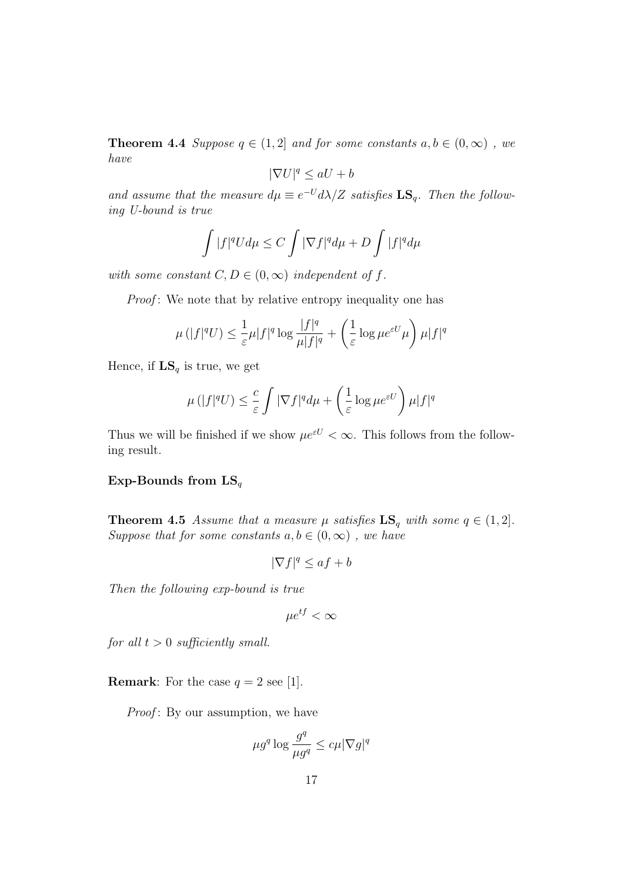**Theorem 4.4** Suppose  $q \in (1,2]$  and for some constants  $a, b \in (0,\infty)$ , we have

$$
|\nabla U|^q \le aU + b
$$

and assume that the measure  $d\mu \equiv e^{-U} d\lambda/Z$  satisfies  $\mathbf{LS}_q$ . Then the following U-bound is true

$$
\int |f|^q U d\mu \le C \int |\nabla f|^q d\mu + D \int |f|^q d\mu
$$

with some constant  $C, D \in (0, \infty)$  independent of f.

Proof: We note that by relative entropy inequality one has

$$
\mu(|f|^qU) \le \frac{1}{\varepsilon}\mu|f|^q\log\frac{|f|^q}{\mu|f|^q} + \left(\frac{1}{\varepsilon}\log\mu e^{\varepsilon U}\mu\right)\mu|f|^q
$$

Hence, if  $LS_q$  is true, we get

$$
\mu(|f|^qU) \le \frac{c}{\varepsilon} \int |\nabla f|^q d\mu + \left(\frac{1}{\varepsilon} \log \mu e^{\varepsilon U}\right) \mu |f|^q
$$

Thus we will be finished if we show  $\mu e^{\varepsilon U} < \infty$ . This follows from the following result.

#### Exp-Bounds from  $LS_q$

**Theorem 4.5** Assume that a measure  $\mu$  satisfies  $LS_q$  with some  $q \in (1, 2]$ . Suppose that for some constants  $a, b \in (0, \infty)$ , we have

$$
|\nabla f|^q \le af + b
$$

Then the following exp-bound is true

$$
\mu e^{tf} < \infty
$$

for all  $t > 0$  sufficiently small.

**Remark:** For the case  $q = 2$  see [1].

*Proof*: By our assumption, we have

$$
\mu g^q \log \frac{g^q}{\mu g^q} \leq c\mu |\nabla g|^q
$$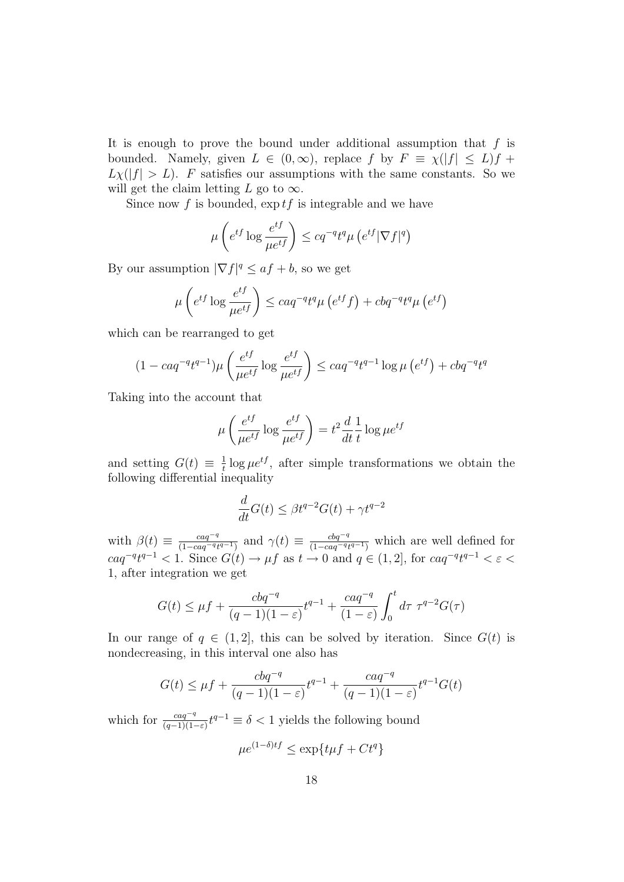It is enough to prove the bound under additional assumption that  $f$  is bounded. Namely, given  $L \in (0,\infty)$ , replace f by  $F = \chi(|f| \le L)f +$  $L_X(|f| > L)$ . F satisfies our assumptions with the same constants. So we will get the claim letting L go to  $\infty$ .

Since now f is bounded,  $\exp t f$  is integrable and we have

$$
\mu\left(e^{tf}\log\frac{e^{tf}}{\mu e^{tf}}\right) \le cq^{-q}t^q\mu\left(e^{tf}|\nabla f|^q\right)
$$

By our assumption  $|\nabla f|^q \leq af + b$ , so we get

$$
\mu\left(e^{tf}\log\frac{e^{tf}}{\mu e^{tf}}\right) \leq caq^{-q}t^q\mu\left(e^{tf}f\right) + cbq^{-q}t^q\mu\left(e^{tf}\right)
$$

which can be rearranged to get

$$
(1 - caq^{-q}t^{q-1})\mu \left(\frac{e^{tf}}{\mu e^{tf}} \log \frac{e^{tf}}{\mu e^{tf}}\right) \le caq^{-q}t^{q-1} \log \mu \left(e^{tf}\right) + cbq^{-q}t^q
$$

Taking into the account that

$$
\mu\left(\frac{e^{tf}}{\mu e^{tf}}\log\frac{e^{tf}}{\mu e^{tf}}\right) = t^2\frac{d}{dt}\frac{1}{t}\log\mu e^{tf}
$$

and setting  $G(t) \equiv \frac{1}{t}$  $\frac{1}{t}$  log  $\mu e^{tf}$ , after simple transformations we obtain the following differential inequality

$$
\frac{d}{dt}G(t) \le \beta t^{q-2}G(t) + \gamma t^{q-2}
$$

with  $\beta(t) \equiv \frac{caq^{-q}}{(1 - caq^{-q})^2}$  $\frac{caq^{-q}}{(1-caq^{-q}t^{q-1})}$  and  $\gamma(t) \equiv \frac{cbq^{-q}}{(1-caq^{-q}t^{q-1})}$  $\frac{cbq^{-q}}{(1-caq^{-q}t^{q-1})}$  which are well defined for  $caq^{-q}t^{q-1} < 1.$  Since  $G(t) \to \mu f$  as  $t \to 0$  and  $q \in (1, 2]$ , for  $caq^{-q}t^{q-1} < \varepsilon <$ 1, after integration we get

$$
G(t) \le \mu f + \frac{cbq^{-q}}{(q-1)(1-\varepsilon)}t^{q-1} + \frac{caq^{-q}}{(1-\varepsilon)}\int_0^t d\tau \ \tau^{q-2}G(\tau)
$$

In our range of  $q \in (1,2]$ , this can be solved by iteration. Since  $G(t)$  is nondecreasing, in this interval one also has

$$
G(t) \le \mu f + \frac{cbq^{-q}}{(q-1)(1-\varepsilon)}t^{q-1} + \frac{caq^{-q}}{(q-1)(1-\varepsilon)}t^{q-1}G(t)
$$

which for  $\frac{caq^{-q}}{(q-1)(1-\varepsilon)}t^{q-1} \equiv \delta < 1$  yields the following bound

$$
\mu e^{(1-\delta)t} \le \exp\{t\mu f + Ct^q\}
$$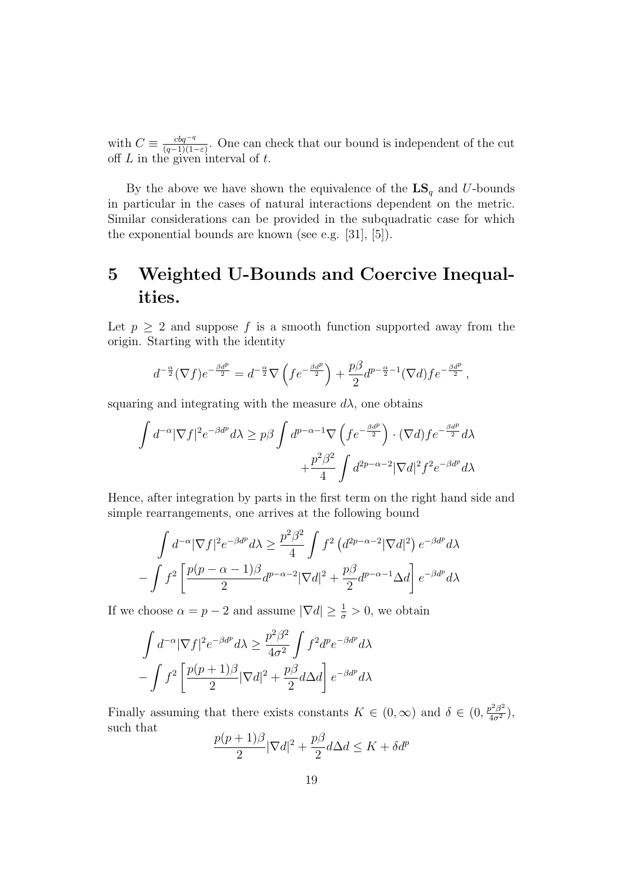with  $C \equiv \frac{cbq^{-q}}{(q-1)(1-q)}$  $\frac{c\overline{bq}^{-q}}{(q-1)(1-\varepsilon)}$ . One can check that our bound is independent of the cut off  $L$  in the given interval of  $t$ .

By the above we have shown the equivalence of the  $\mathbf{LS}_{q}$  and U-bounds in particular in the cases of natural interactions dependent on the metric. Similar considerations can be provided in the subquadratic case for which the exponential bounds are known (see e.g. [31], [5]).

## 5 Weighted U-Bounds and Coercive Inequalities.

Let  $p > 2$  and suppose f is a smooth function supported away from the origin. Starting with the identity

$$
d^{-\frac{\alpha}{2}}(\nabla f)e^{-\frac{\beta d^p}{2}} = d^{-\frac{\alpha}{2}}\nabla \left(fe^{-\frac{\beta d^p}{2}}\right) + \frac{p\beta}{2}d^{p-\frac{\alpha}{2}-1}(\nabla d)fe^{-\frac{\beta d^p}{2}},
$$

squaring and integrating with the measure  $d\lambda$ , one obtains

$$
\int d^{-\alpha} |\nabla f|^2 e^{-\beta d^p} d\lambda \ge p\beta \int d^{p-\alpha-1} \nabla \left( f e^{-\frac{\beta d^p}{2}} \right) \cdot (\nabla d) f e^{-\frac{\beta d^p}{2}} d\lambda \n+ \frac{p^2 \beta^2}{4} \int d^{2p-\alpha-2} |\nabla d|^2 f^2 e^{-\beta d^p} d\lambda
$$

Hence, after integration by parts in the first term on the right hand side and simple rearrangements, one arrives at the following bound

$$
\int d^{-\alpha} |\nabla f|^2 e^{-\beta d^p} d\lambda \ge \frac{p^2 \beta^2}{4} \int f^2 (d^{2p-\alpha-2} |\nabla d|^2) e^{-\beta d^p} d\lambda
$$

$$
-\int f^2 \left[ \frac{p(p-\alpha-1)\beta}{2} d^{p-\alpha-2} |\nabla d|^2 + \frac{p\beta}{2} d^{p-\alpha-1} \Delta d \right] e^{-\beta d^p} d\lambda
$$

If we choose  $\alpha = p - 2$  and assume  $|\nabla d| \ge \frac{1}{\sigma} > 0$ , we obtain

$$
\int d^{-\alpha} |\nabla f|^2 e^{-\beta d^p} d\lambda \ge \frac{p^2 \beta^2}{4\sigma^2} \int f^2 d^p e^{-\beta d^p} d\lambda
$$

$$
-\int f^2 \left[ \frac{p(p+1)\beta}{2} |\nabla d|^2 + \frac{p\beta}{2} d\Delta d \right] e^{-\beta d^p} d\lambda
$$

Finally assuming that there exists constants  $K \in (0, \infty)$  and  $\delta \in (0, \frac{p^2 \beta^2}{4\sigma^2})$ , such that

$$
\frac{p(p+1)\beta}{2}|\nabla d|^2 + \frac{p\beta}{2}d\Delta d \le K + \delta d^p
$$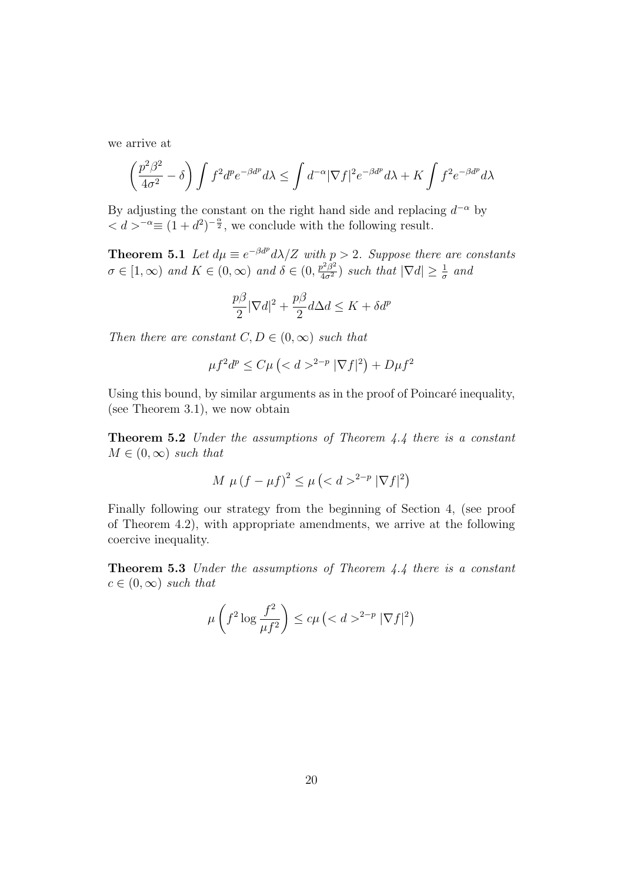we arrive at

$$
\left(\frac{p^2\beta^2}{4\sigma^2} - \delta\right) \int f^2 d^p e^{-\beta d^p} d\lambda \le \int d^{-\alpha} |\nabla f|^2 e^{-\beta d^p} d\lambda + K \int f^2 e^{-\beta d^p} d\lambda
$$

By adjusting the constant on the right hand side and replacing  $d^{-\alpha}$  by  $d > \alpha = (1 + d^2)^{-\frac{\alpha}{2}}$ , we conclude with the following result.

**Theorem 5.1** Let  $d\mu \equiv e^{-\beta d^p} d\lambda / Z$  with  $p > 2$ . Suppose there are constants  $\sigma \in [1,\infty)$  and  $K \in (0,\infty)$  and  $\delta \in (0,\frac{p^2\beta^2}{4\sigma^2})$  such that  $|\nabla d| \geq \frac{1}{\sigma}$  and

$$
\frac{p\beta}{2}|\nabla d|^2+\frac{p\beta}{2}d\Delta d\leq K+\delta d^p
$$

Then there are constant  $C, D \in (0, \infty)$  such that

$$
\mu f^2 d^p \le C\mu \left( \langle d \rangle^{2-p} |\nabla f|^2 \right) + D\mu f^2
$$

Using this bound, by similar arguments as in the proof of Poincaré inequality, (see Theorem 3.1), we now obtain

Theorem 5.2 Under the assumptions of Theorem 4.4 there is a constant  $M \in (0,\infty)$  such that

$$
M \mu (f - \mu f)^2 \le \mu \left( \langle d \rangle^{2 - p} |\nabla f|^2 \right)
$$

Finally following our strategy from the beginning of Section 4, (see proof of Theorem 4.2), with appropriate amendments, we arrive at the following coercive inequality.

Theorem 5.3 Under the assumptions of Theorem 4.4 there is a constant  $c \in (0,\infty)$  such that

$$
\mu\left(f^2 \log \frac{f^2}{\mu f^2}\right) \le c\mu\left(\langle d \rangle^{2-p} |\nabla f|^2\right)
$$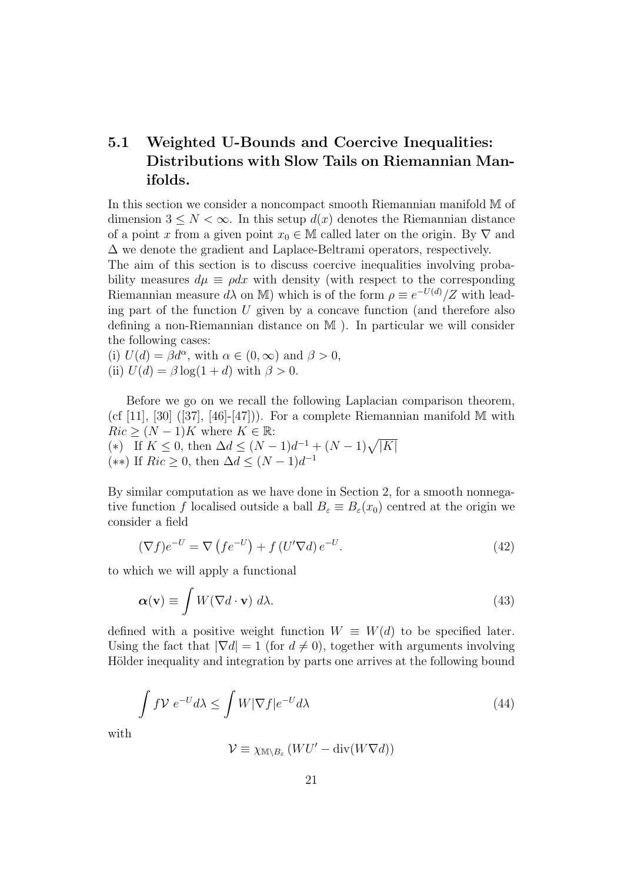### 5.1 Weighted U-Bounds and Coercive Inequalities: Distributions with Slow Tails on Riemannian Manifolds.

In this section we consider a noncompact smooth Riemannian manifold M of dimension  $3 \leq N < \infty$ . In this setup  $d(x)$  denotes the Riemannian distance of a point x from a given point  $x_0 \in M$  called later on the origin. By  $\nabla$  and ∆ we denote the gradient and Laplace-Beltrami operators, respectively.

The aim of this section is to discuss coercive inequalities involving probability measures  $d\mu \equiv \rho dx$  with density (with respect to the corresponding Riemannian measure  $d\lambda$  on M) which is of the form  $\rho \equiv e^{-U(d)}/Z$  with leading part of the function  $U$  given by a concave function (and therefore also defining a non-Riemannian distance on M ). In particular we will consider the following cases:

(i)  $U(d) = \beta d^{\alpha}$ , with  $\alpha \in (0, \infty)$  and  $\beta > 0$ , (ii)  $U(d) = \beta \log(1+d)$  with  $\beta > 0$ .

Before we go on we recall the following Laplacian comparison theorem, (cf [11], [30] ([37], [46]-[47])). For a complete Riemannian manifold  $M$  with  $Ric$  >  $(N-1)K$  where  $K \in \mathbb{R}$ : (\*) If  $K \leq 0$ , then  $\Delta d \leq (N-1)d^{-1} + (N-1)\sqrt{|K|}$ (\*\*) If  $Ric \geq 0$ , then  $\Delta d \leq (N-1)d^{-1}$ 

By similar computation as we have done in Section 2, for a smooth nonnegative function f localised outside a ball  $B_{\varepsilon} \equiv B_{\varepsilon}(x_0)$  centred at the origin we consider a field

$$
(\nabla f)e^{-U} = \nabla \left( f e^{-U} \right) + f \left( U' \nabla d \right) e^{-U}.
$$
\n(42)

to which we will apply a functional

$$
\alpha(\mathbf{v}) \equiv \int W(\nabla d \cdot \mathbf{v}) \, d\lambda. \tag{43}
$$

defined with a positive weight function  $W \equiv W(d)$  to be specified later. Using the fact that  $|\nabla d| = 1$  (for  $d \neq 0$ ), together with arguments involving Hölder inequality and integration by parts one arrives at the following bound

$$
\int f \mathcal{V} \ e^{-U} d\lambda \le \int W |\nabla f| e^{-U} d\lambda \tag{44}
$$

with

 $\mathcal{V} \equiv \chi_{\mathbb{M} \setminus B_{\varepsilon}} \left( WU' - \text{div}(W\nabla d) \right)$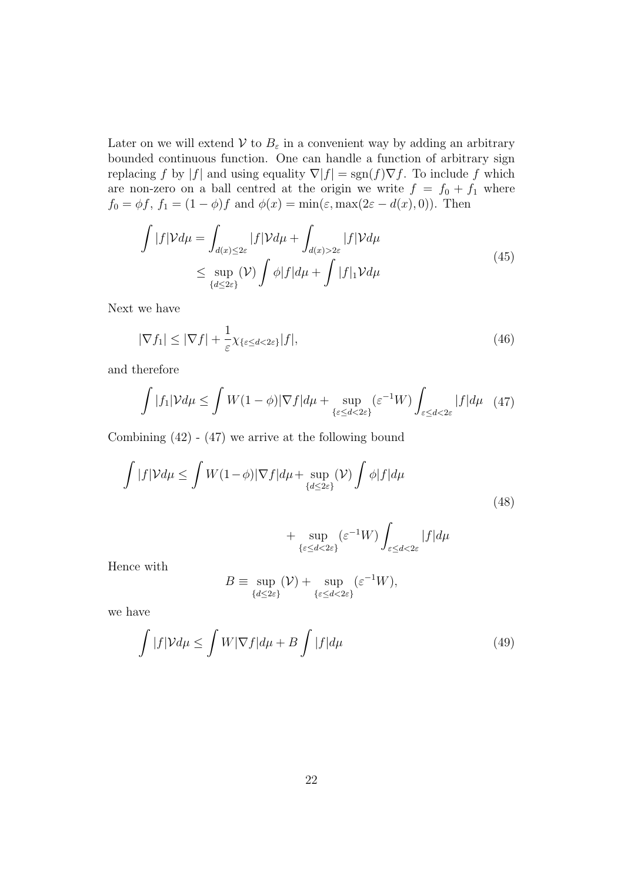Later on we will extend  $V$  to  $B_{\varepsilon}$  in a convenient way by adding an arbitrary bounded continuous function. One can handle a function of arbitrary sign replacing f by |f| and using equality  $\nabla |f| = sgn(f)\nabla f$ . To include f which are non-zero on a ball centred at the origin we write  $f = f_0 + f_1$  where  $f_0 = \phi f, f_1 = (1 - \phi)f$  and  $\phi(x) = \min(\varepsilon, \max(2\varepsilon - d(x), 0)).$  Then

$$
\int |f|\mathcal{V}d\mu = \int_{d(x)\leq 2\varepsilon} |f|\mathcal{V}d\mu + \int_{d(x)>2\varepsilon} |f|\mathcal{V}d\mu
$$
\n
$$
\leq \sup_{\{d\leq 2\varepsilon\}} (\mathcal{V}) \int \phi |f| d\mu + \int |f|_1 \mathcal{V}d\mu
$$
\n(45)

Next we have

$$
|\nabla f_1| \le |\nabla f| + \frac{1}{\varepsilon} \chi_{\{\varepsilon \le d < 2\varepsilon\}} |f|,\tag{46}
$$

and therefore

$$
\int |f_1| \mathcal{V} d\mu \le \int W(1-\phi) |\nabla f| d\mu + \sup_{\{\varepsilon \le d < 2\varepsilon\}} (\varepsilon^{-1} W) \int_{\varepsilon \le d < 2\varepsilon} |f| d\mu \quad (47)
$$

Combining  $(42) - (47)$  we arrive at the following bound

$$
\int |f| \mathcal{V} d\mu \le \int W(1-\phi) |\nabla f| d\mu + \sup_{\{d \le 2\varepsilon\}} (\mathcal{V}) \int \phi |f| d\mu
$$
\n(48)

$$
+\sup_{\{\varepsilon \le d < 2\varepsilon\}} (\varepsilon^{-1}W) \int_{\varepsilon \le d < 2\varepsilon} |f| d\mu
$$

Hence with

$$
B \equiv \sup_{\{d \le 2\varepsilon\}} (\mathcal{V}) + \sup_{\{\varepsilon \le d < 2\varepsilon\}} (\varepsilon^{-1} W),
$$

we have

$$
\int |f| \mathcal{V} d\mu \le \int W |\nabla f| d\mu + B \int |f| d\mu \tag{49}
$$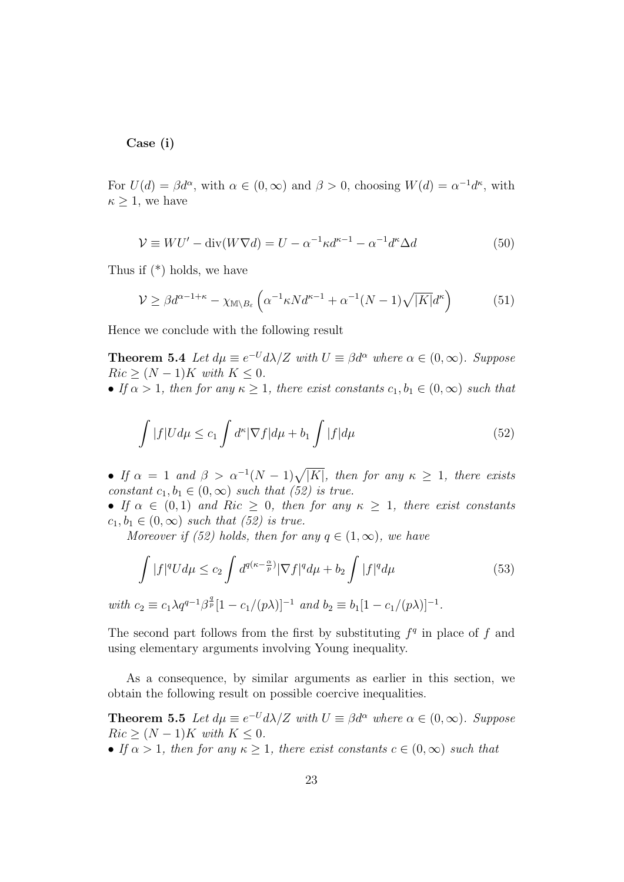Case (i)

For  $U(d) = \beta d^{\alpha}$ , with  $\alpha \in (0, \infty)$  and  $\beta > 0$ , choosing  $W(d) = \alpha^{-1} d^{\kappa}$ , with  $\kappa \geq 1$ , we have

$$
\mathcal{V} \equiv WU' - \text{div}(W\nabla d) = U - \alpha^{-1}\kappa d^{\kappa - 1} - \alpha^{-1}d^{\kappa}\Delta d \tag{50}
$$

Thus if (\*) holds, we have

$$
\mathcal{V} \ge \beta d^{\alpha - 1 + \kappa} - \chi_{\mathbb{M} \setminus B_{\varepsilon}} \left( \alpha^{-1} \kappa N d^{\kappa - 1} + \alpha^{-1} (N - 1) \sqrt{|K|} d^{\kappa} \right) \tag{51}
$$

Hence we conclude with the following result

**Theorem 5.4** Let  $d\mu \equiv e^{-U} d\lambda/Z$  with  $U \equiv \beta d^{\alpha}$  where  $\alpha \in (0, \infty)$ . Suppose  $Ric$  >  $(N-1)K$  with  $K \leq 0$ .

• If  $\alpha > 1$ , then for any  $\kappa \geq 1$ , there exist constants  $c_1, b_1 \in (0, \infty)$  such that

$$
\int |f|Ud\mu \le c_1 \int d^{\kappa} |\nabla f| d\mu + b_1 \int |f| d\mu \tag{52}
$$

• If  $\alpha = 1$  and  $\beta > \alpha^{-1}(N-1)\sqrt{|K|}$ , then for any  $\kappa \geq 1$ , there exists constant  $c_1, b_1 \in (0, \infty)$  such that (52) is true.

• If  $\alpha \in (0,1)$  and Ric  $\geq 0$ , then for any  $\kappa \geq 1$ , there exist constants  $c_1, b_1 \in (0, \infty)$  such that (52) is true.

Moreover if (52) holds, then for any  $q \in (1,\infty)$ , we have

$$
\int |f|^q U d\mu \le c_2 \int d^{q(\kappa - \frac{\alpha}{p})} |\nabla f|^q d\mu + b_2 \int |f|^q d\mu \tag{53}
$$

with  $c_2 \equiv c_1 \lambda q^{q-1} \beta^{\frac{q}{p}} [1 - c_1/(p\lambda)]^{-1}$  and  $b_2 \equiv b_1 [1 - c_1/(p\lambda)]^{-1}$ .

The second part follows from the first by substituting  $f<sup>q</sup>$  in place of f and using elementary arguments involving Young inequality.

As a consequence, by similar arguments as earlier in this section, we obtain the following result on possible coercive inequalities.

**Theorem 5.5** Let  $d\mu \equiv e^{-U} d\lambda/Z$  with  $U \equiv \beta d^{\alpha}$  where  $\alpha \in (0, \infty)$ . Suppose  $Ric \geq (N-1)K$  with  $K \leq 0$ .

• If  $\alpha > 1$ , then for any  $\kappa \geq 1$ , there exist constants  $c \in (0, \infty)$  such that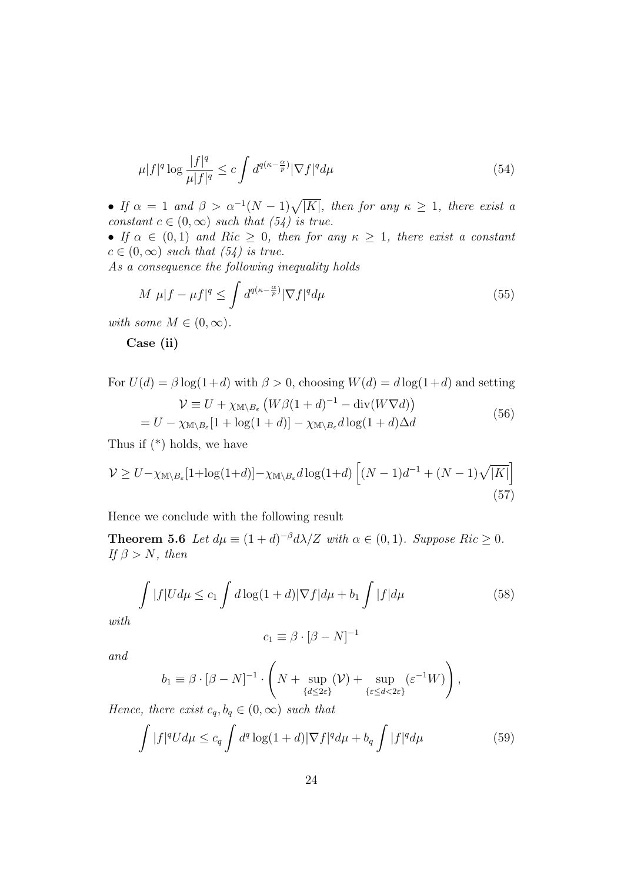$$
\mu|f|^q \log \frac{|f|^q}{\mu|f|^q} \le c \int d^{q(\kappa - \frac{\alpha}{p})} |\nabla f|^q d\mu \tag{54}
$$

• If  $\alpha = 1$  and  $\beta > \alpha^{-1}(N-1)\sqrt{|K|}$ , then for any  $\kappa \geq 1$ , there exist a constant  $c \in (0,\infty)$  such that  $(54)$  is true.

• If  $\alpha \in (0,1)$  and  $Ric \geq 0$ , then for any  $\kappa \geq 1$ , there exist a constant  $c \in (0,\infty)$  such that  $(54)$  is true.

As a consequence the following inequality holds

$$
M \ \mu |f - \mu f|^q \le \int d^{q(\kappa - \frac{\alpha}{p})} |\nabla f|^q d\mu \tag{55}
$$

with some  $M \in (0, \infty)$ .

Case (ii)

For 
$$
U(d) = \beta \log(1+d)
$$
 with  $\beta > 0$ , choosing  $W(d) = d \log(1+d)$  and setting  

$$
\mathcal{V} \equiv U + \chi_{\mathbb{M} \setminus B_{\varepsilon}} \left( W \beta (1+d)^{-1} - \text{div}(W \nabla d) \right)
$$
 (56)

$$
= U - \chi_{\mathbb{M}\setminus B_{\varepsilon}}[1 + \log(1+d)] - \chi_{\mathbb{M}\setminus B_{\varepsilon}}d\log(1+d)\Delta d \tag{56}
$$

Thus if (\*) holds, we have

$$
\mathcal{V} \ge U - \chi_{\mathbb{M}\setminus B_{\varepsilon}}[1 + \log(1+d)] - \chi_{\mathbb{M}\setminus B_{\varepsilon}}d\log(1+d)\left[(N-1)d^{-1} + (N-1)\sqrt{|K|}\right]
$$
\n(57)

Hence we conclude with the following result

**Theorem 5.6** Let  $d\mu \equiv (1+d)^{-\beta} d\lambda/Z$  with  $\alpha \in (0,1)$ . Suppose Ric  $\geq 0$ . If  $\beta > N$ , then

$$
\int |f|Ud\mu \leq c_1 \int d\log(1+d)|\nabla f|d\mu + b_1 \int |f|d\mu \tag{58}
$$

with

$$
c_1 \equiv \beta \cdot [\beta - N]^{-1}
$$

and

$$
b_1 \equiv \beta \cdot [\beta - N]^{-1} \cdot \left( N + \sup_{\{d \le 2\varepsilon\}} (\mathcal{V}) + \sup_{\{\varepsilon \le d < 2\varepsilon\}} (\varepsilon^{-1} W) \right),
$$

Hence, there exist  $c_q, b_q \in (0, \infty)$  such that

$$
\int |f|^q U d\mu \leq c_q \int d^q \log(1+d) |\nabla f|^q d\mu + b_q \int |f|^q d\mu \tag{59}
$$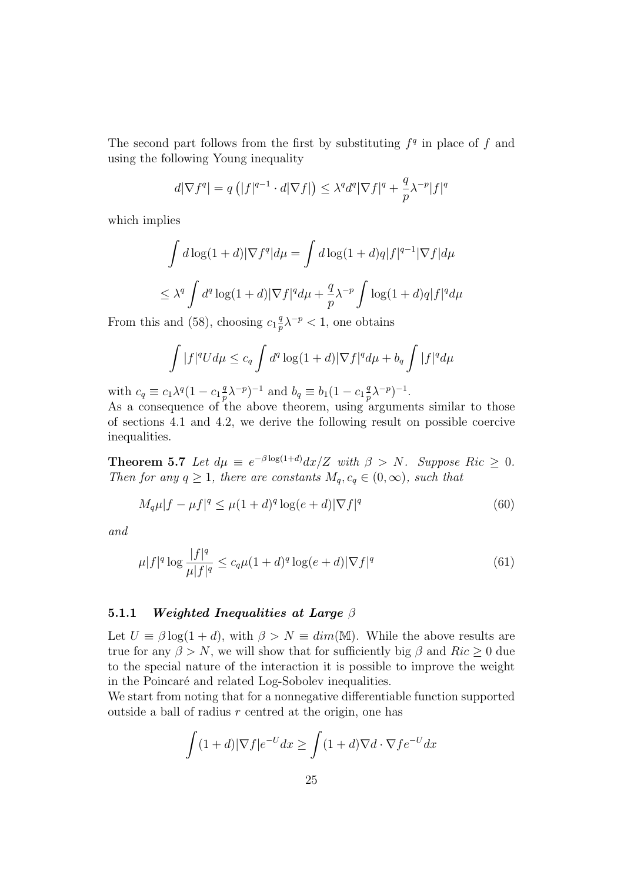The second part follows from the first by substituting  $f<sup>q</sup>$  in place of f and using the following Young inequality

$$
d|\nabla f^q| = q\left(|f|^{q-1} \cdot d|\nabla f|\right) \le \lambda^q d^q |\nabla f|^q + \frac{q}{p} \lambda^{-p} |f|^q
$$

which implies

$$
\int d\log(1+d)|\nabla f^q|d\mu = \int d\log(1+d)q|f|^{q-1}|\nabla f|d\mu
$$
  

$$
\leq \lambda^q \int d^q \log(1+d)|\nabla f|^q d\mu + \frac{q}{p}\lambda^{-p} \int \log(1+d)q|f|^q d\mu
$$

From this and (58), choosing  $c_1 \frac{q}{n}$  $\frac{q}{p}\lambda^{-p} < 1$ , one obtains

$$
\int |f|^q U d\mu \leq c_q \int d^q \log(1+d) |\nabla f|^q d\mu + b_q \int |f|^q d\mu
$$

with  $c_q \equiv c_1 \lambda^q (1 - c_1 \frac{q}{n})$  $(\frac{q}{p}\lambda^{-p})^{-1}$  and  $b_q \equiv b_1(1 - c_1\frac{q}{p})$  $(\frac{q}{p}\lambda^{-p})^{-1}.$ 

As a consequence of the above theorem, using arguments similar to those of sections 4.1 and 4.2, we derive the following result on possible coercive inequalities.

**Theorem 5.7** Let  $d\mu \equiv e^{-\beta \log(1+d)} dx/Z$  with  $\beta > N$ . Suppose Ric  $\geq 0$ . Then for any  $q \geq 1$ , there are constants  $M_q, c_q \in (0, \infty)$ , such that

$$
M_q \mu |f - \mu f|^q \le \mu (1 + d)^q \log(e + d) |\nabla f|^q \tag{60}
$$

and

$$
\mu|f|^q \log \frac{|f|^q}{\mu|f|^q} \le c_q \mu (1+d)^q \log(e+d) |\nabla f|^q \tag{61}
$$

#### 5.1.1 Weighted Inequalities at Large  $\beta$

Let  $U \equiv \beta \log(1+d)$ , with  $\beta > N \equiv dim(M)$ . While the above results are true for any  $\beta > N$ , we will show that for sufficiently big  $\beta$  and  $Ric \geq 0$  due to the special nature of the interaction it is possible to improve the weight in the Poincaré and related Log-Sobolev inequalities.

We start from noting that for a nonnegative differentiable function supported outside a ball of radius  $r$  centred at the origin, one has

$$
\int (1+d)|\nabla f|e^{-U}dx \ge \int (1+d)\nabla d\cdot \nabla f e^{-U}dx
$$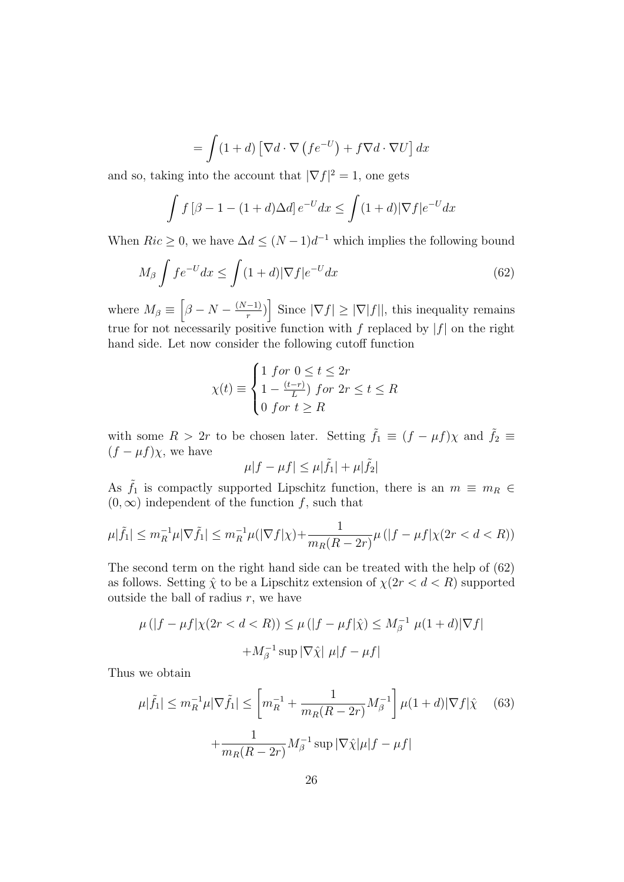$$
= \int (1+d) \left[ \nabla d \cdot \nabla \left( f e^{-U} \right) + f \nabla d \cdot \nabla U \right] dx
$$

and so, taking into the account that  $|\nabla f|^2 = 1$ , one gets

$$
\int f\left[\beta - 1 - (1+d)\Delta d\right]e^{-U}dx \le \int (1+d)|\nabla f|e^{-U}dx
$$

When  $Ric \geq 0$ , we have  $\Delta d \leq (N-1)d^{-1}$  which implies the following bound

$$
M_{\beta} \int f e^{-U} dx \le \int (1+d) |\nabla f| e^{-U} dx \tag{62}
$$

where  $M_{\beta} \equiv \left[\beta - N - \frac{(N-1)}{r}\right]$  $\left\lceil \frac{(-1)}{r} \right\rceil$  Since  $|\nabla f| \geq |\nabla |f||$ , this inequality remains true for not necessarily positive function with f replaced by  $|f|$  on the right hand side. Let now consider the following cutoff function

$$
\chi(t) \equiv \begin{cases} 1 \text{ for } 0 \leq t \leq 2r \\ 1 - \frac{(t-r)}{L} \text{ for } 2r \leq t \leq R \\ 0 \text{ for } t \geq R \end{cases}
$$

with some  $R > 2r$  to be chosen later. Setting  $\tilde{f}_1 \equiv (f - \mu f)\chi$  and  $\tilde{f}_2 \equiv$  $(f - \mu f)\chi$ , we have

$$
\mu|f - \mu f| \le \mu|\tilde{f}_1| + \mu|\tilde{f}_2|
$$

As  $\tilde{f}_1$  is compactly supported Lipschitz function, there is an  $m \equiv m_R \in$  $(0, \infty)$  independent of the function f, such that

$$
\mu|\tilde{f}_1| \le m_R^{-1} \mu |\nabla \tilde{f}_1| \le m_R^{-1} \mu(|\nabla f|\chi) + \frac{1}{m_R(R-2r)} \mu(|f - \mu f|\chi(2r < d < R))
$$

The second term on the right hand side can be treated with the help of (62) as follows. Setting  $\hat{\chi}$  to be a Lipschitz extension of  $\chi(2r < d < R)$  supported outside the ball of radius  $r$ , we have

$$
\mu(|f - \mu f|\chi(2r < d < R)) \le \mu(|f - \mu f|\hat{\chi}) \le M_\beta^{-1} \mu(1 + d)|\nabla f|
$$
\n
$$
+ M_\beta^{-1} \sup |\nabla \hat{\chi}| \mu|f - \mu f|
$$

Thus we obtain

$$
\mu|\tilde{f}_1| \le m_R^{-1} \mu |\nabla \tilde{f}_1| \le \left[m_R^{-1} + \frac{1}{m_R(R - 2r)} M_\beta^{-1}\right] \mu(1 + d) |\nabla f|\hat{\chi} \quad (63)
$$

$$
+ \frac{1}{m_R(R - 2r)} M_\beta^{-1} \sup |\nabla \hat{\chi}| \mu |f - \mu f|
$$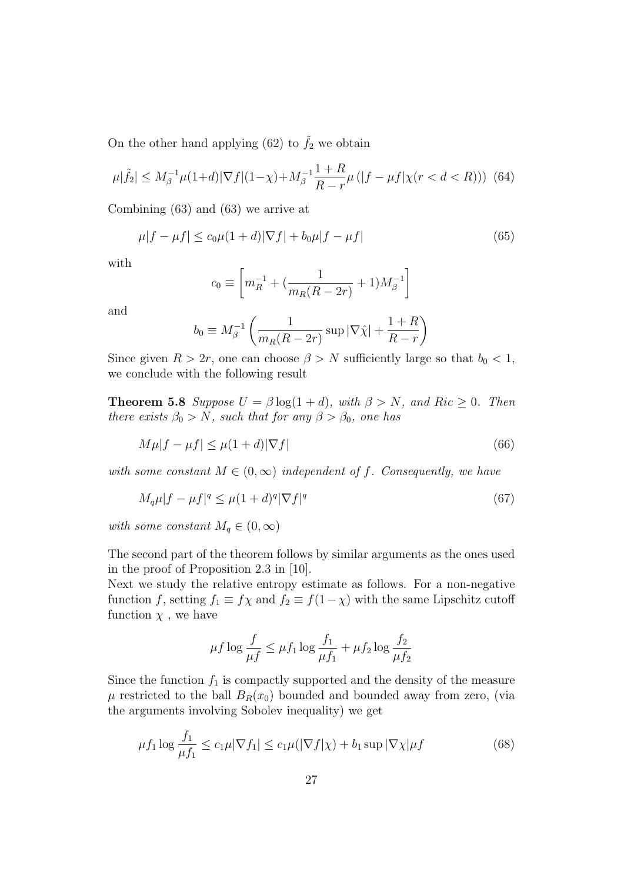On the other hand applying (62) to  $\tilde{f}_2$  we obtain

$$
\mu|\tilde{f}_2| \le M_\beta^{-1} \mu(1+d) |\nabla f|(1-\chi) + M_\beta^{-1} \frac{1+R}{R-r} \mu(|f-\mu f|\chi(r < d < R))) \tag{64}
$$

Combining (63) and (63) we arrive at

$$
\mu|f - \mu f| \le c_0 \mu (1 + d)|\nabla f| + b_0 \mu|f - \mu f| \tag{65}
$$

with

$$
c_0 \equiv \left[ m_R^{-1} + \left( \frac{1}{m_R(R - 2r)} + 1 \right) M_\beta^{-1} \right]
$$

and

$$
b_0 \equiv M_\beta^{-1} \left( \frac{1}{m_R(R - 2r)} \sup |\nabla \hat{\chi}| + \frac{1+R}{R-r} \right)
$$

Since given  $R > 2r$ , one can choose  $\beta > N$  sufficiently large so that  $b_0 < 1$ , we conclude with the following result

**Theorem 5.8** Suppose  $U = \beta \log(1 + d)$ , with  $\beta > N$ , and Ric  $\geq 0$ . Then there exists  $\beta_0 > N$ , such that for any  $\beta > \beta_0$ , one has

$$
M\mu|f - \mu f| \le \mu(1+d)|\nabla f| \tag{66}
$$

with some constant  $M \in (0,\infty)$  independent of f. Consequently, we have

$$
M_q \mu |f - \mu f|^q \le \mu (1+d)^q |\nabla f|^q \tag{67}
$$

with some constant  $M_q \in (0,\infty)$ 

The second part of the theorem follows by similar arguments as the ones used in the proof of Proposition 2.3 in [10].

Next we study the relative entropy estimate as follows. For a non-negative function f, setting  $f_1 \equiv f\chi$  and  $f_2 \equiv f(1-\chi)$  with the same Lipschitz cutoff function  $\chi$ , we have

$$
\mu f \log \frac{f}{\mu f} \le \mu f_1 \log \frac{f_1}{\mu f_1} + \mu f_2 \log \frac{f_2}{\mu f_2}
$$

Since the function  $f_1$  is compactly supported and the density of the measure  $\mu$  restricted to the ball  $B_R(x_0)$  bounded and bounded away from zero, (via the arguments involving Sobolev inequality) we get

$$
\mu f_1 \log \frac{f_1}{\mu f_1} \le c_1 \mu |\nabla f_1| \le c_1 \mu (|\nabla f|\chi) + b_1 \sup |\nabla \chi| \mu f \tag{68}
$$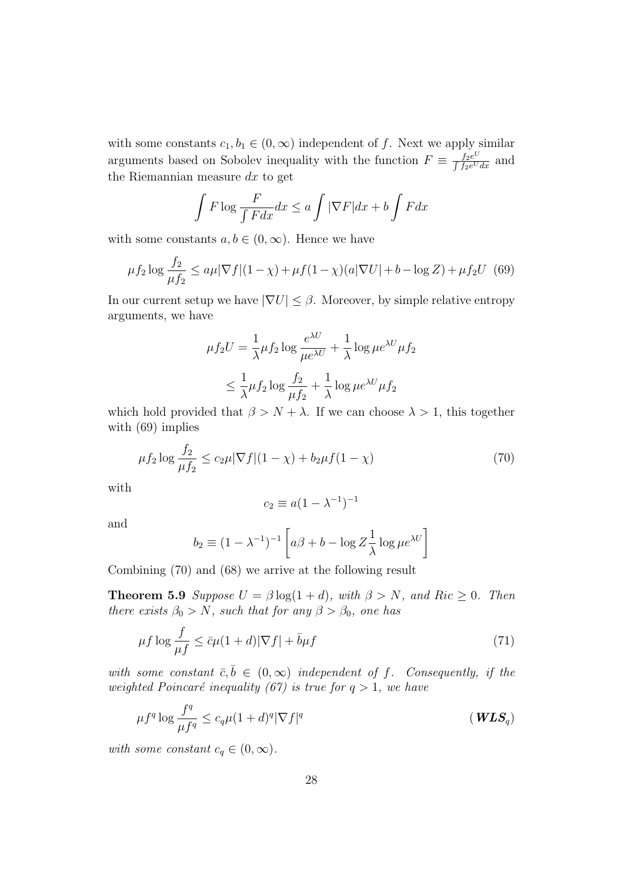with some constants  $c_1, b_1 \in (0, \infty)$  independent of f. Next we apply similar arguments based on Sobolev inequality with the function  $F \equiv \frac{f_2 e^U}{\int_{-\infty}^{\infty} V}$  $\frac{f_2e^{\psi}}{\int f_2e^Udx}$  and the Riemannian measure  $dx$  to get

$$
\int F \log \frac{F}{\int F dx} dx \le a \int |\nabla F| dx + b \int F dx
$$

with some constants  $a, b \in (0, \infty)$ . Hence we have

$$
\mu f_2 \log \frac{f_2}{\mu f_2} \le a\mu |\nabla f|(1-\chi) + \mu f(1-\chi)(a|\nabla U| + b - \log Z) + \mu f_2 U
$$
 (69)

In our current setup we have  $|\nabla U| \leq \beta$ . Moreover, by simple relative entropy arguments, we have

$$
\mu f_2 U = \frac{1}{\lambda} \mu f_2 \log \frac{e^{\lambda U}}{\mu e^{\lambda U}} + \frac{1}{\lambda} \log \mu e^{\lambda U} \mu f_2
$$
  

$$
\leq \frac{1}{\lambda} \mu f_2 \log \frac{f_2}{\mu f_2} + \frac{1}{\lambda} \log \mu e^{\lambda U} \mu f_2
$$

which hold provided that  $\beta > N + \lambda$ . If we can choose  $\lambda > 1$ , this together with (69) implies

$$
\mu f_2 \log \frac{f_2}{\mu f_2} \le c_2 \mu |\nabla f| (1 - \chi) + b_2 \mu f (1 - \chi) \tag{70}
$$

with

$$
c_2 \equiv a(1 - \lambda^{-1})^{-1}
$$

and

$$
b_2 \equiv (1 - \lambda^{-1})^{-1} \left[ a\beta + b - \log Z \frac{1}{\lambda} \log \mu e^{\lambda U} \right]
$$

Combining (70) and (68) we arrive at the following result

**Theorem 5.9** Suppose  $U = \beta \log(1 + d)$ , with  $\beta > N$ , and Ric  $\geq 0$ . Then there exists  $\beta_0 > N$ , such that for any  $\beta > \beta_0$ , one has

$$
\mu f \log \frac{f}{\mu f} \le \bar{c}\mu (1+d) |\nabla f| + \bar{b}\mu f \tag{71}
$$

with some constant  $\bar{c}, \bar{b} \in (0, \infty)$  independent of f. Consequently, if the weighted Poincaré inequality (67) is true for  $q > 1$ , we have

$$
\mu f^{q} \log \frac{f^{q}}{\mu f^{q}} \leq c_{q} \mu (1+d)^{q} |\nabla f|^{q}
$$
 (WLS<sub>q</sub>)

with some constant  $c_q \in (0,\infty)$ .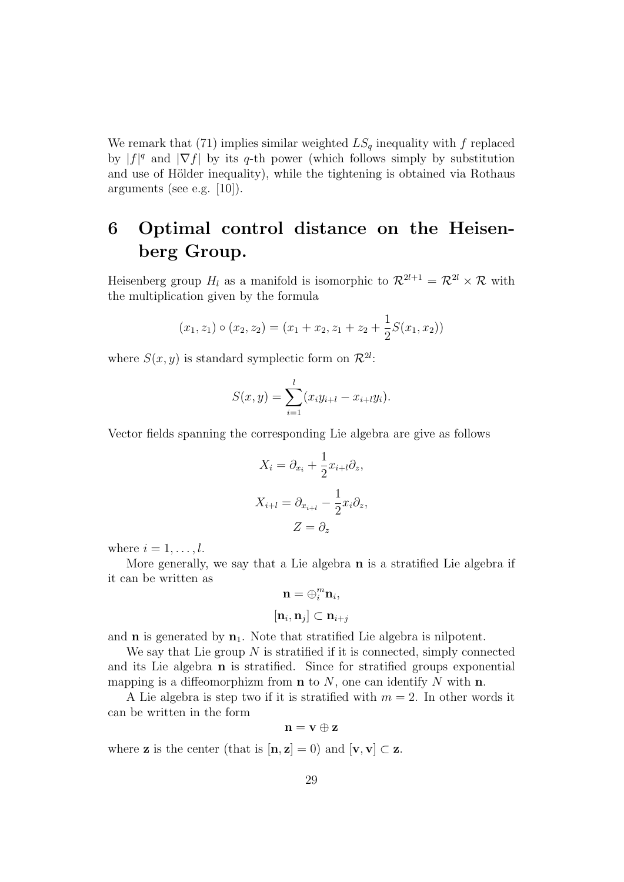We remark that (71) implies similar weighted  $LS_q$  inequality with f replaced by  $|f|^q$  and  $|\nabla f|$  by its q-th power (which follows simply by substitution and use of Hölder inequality), while the tightening is obtained via Rothaus arguments (see e.g. [10]).

## 6 Optimal control distance on the Heisenberg Group.

Heisenberg group  $H_l$  as a manifold is isomorphic to  $\mathcal{R}^{2l+1} = \mathcal{R}^{2l} \times \mathcal{R}$  with the multiplication given by the formula

$$
(x_1, z_1) \circ (x_2, z_2) = (x_1 + x_2, z_1 + z_2 + \frac{1}{2}S(x_1, x_2))
$$

where  $S(x, y)$  is standard symplectic form on  $\mathcal{R}^{2l}$ :

$$
S(x, y) = \sum_{i=1}^{l} (x_i y_{i+l} - x_{i+l} y_i).
$$

Vector fields spanning the corresponding Lie algebra are give as follows

$$
X_i = \partial_{x_i} + \frac{1}{2} x_{i+l} \partial_z,
$$
  

$$
X_{i+l} = \partial_{x_{i+l}} - \frac{1}{2} x_i \partial_z,
$$
  

$$
Z = \partial_z
$$

where  $i = 1, \ldots, l$ .

More generally, we say that a Lie algebra n is a stratified Lie algebra if it can be written as

$$
\mathbf{n} = \oplus_i^m \mathbf{n}_i,
$$
  

$$
[\mathbf{n}_i, \mathbf{n}_j] \subset \mathbf{n}_{i+j}
$$

and  $n$  is generated by  $n_1$ . Note that stratified Lie algebra is nilpotent.

We say that Lie group  $N$  is stratified if it is connected, simply connected and its Lie algebra n is stratified. Since for stratified groups exponential mapping is a diffeomorphizm from  $\bf{n}$  to N, one can identify N with  $\bf{n}$ .

A Lie algebra is step two if it is stratified with  $m = 2$ . In other words it can be written in the form

$$
\mathbf{n}=\mathbf{v}\oplus\mathbf{z}
$$

where **z** is the center (that is  $[\mathbf{n}, \mathbf{z}] = 0$ ) and  $[\mathbf{v}, \mathbf{v}] \subset \mathbf{z}$ .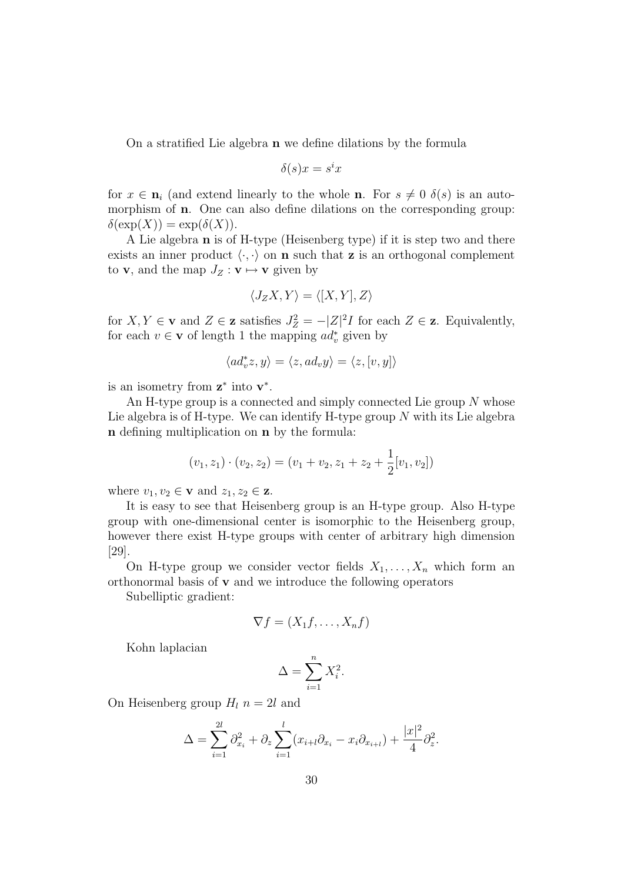On a stratified Lie algebra n we define dilations by the formula

$$
\delta(s)x = s^i x
$$

for  $x \in \mathbf{n}_i$  (and extend linearly to the whole **n**. For  $s \neq 0$   $\delta(s)$  is an automorphism of n. One can also define dilations on the corresponding group:  $\delta(\exp(X)) = \exp(\delta(X)).$ 

A Lie algebra n is of H-type (Heisenberg type) if it is step two and there exists an inner product  $\langle \cdot, \cdot \rangle$  on **n** such that **z** is an orthogonal complement to **v**, and the map  $J_Z : \mathbf{v} \mapsto \mathbf{v}$  given by

$$
\langle J_Z X, Y \rangle = \langle [X, Y], Z \rangle
$$

for  $X, Y \in \mathbf{v}$  and  $Z \in \mathbf{z}$  satisfies  $J_Z^2 = -|Z|^2 I$  for each  $Z \in \mathbf{z}$ . Equivalently, for each  $v \in \mathbf{v}$  of length 1 the mapping  $ad_v^*$  given by

$$
\langle ad_v^*z,y\rangle=\langle z,ad_vy\rangle=\langle z,[v,y]\rangle
$$

is an isometry from  $z^*$  into  $v^*$ .

An H-type group is a connected and simply connected Lie group  $N$  whose Lie algebra is of H-type. We can identify H-type group  $N$  with its Lie algebra n defining multiplication on n by the formula:

$$
(v_1, z_1) \cdot (v_2, z_2) = (v_1 + v_2, z_1 + z_2 + \frac{1}{2}[v_1, v_2])
$$

where  $v_1, v_2 \in \mathbf{v}$  and  $z_1, z_2 \in \mathbf{z}$ .

It is easy to see that Heisenberg group is an H-type group. Also H-type group with one-dimensional center is isomorphic to the Heisenberg group, however there exist H-type groups with center of arbitrary high dimension [29].

On H-type group we consider vector fields  $X_1, \ldots, X_n$  which form an orthonormal basis of v and we introduce the following operators

Subelliptic gradient:

$$
\nabla f = (X_1 f, \dots, X_n f)
$$

Kohn laplacian

$$
\Delta = \sum_{i=1}^{n} X_i^2.
$$

On Heisenberg group  $H_l$   $n = 2l$  and

$$
\Delta = \sum_{i=1}^{2l} \partial_{x_i}^2 + \partial_z \sum_{i=1}^l (x_{i+l} \partial_{x_i} - x_i \partial_{x_{i+l}}) + \frac{|x|^2}{4} \partial_z^2.
$$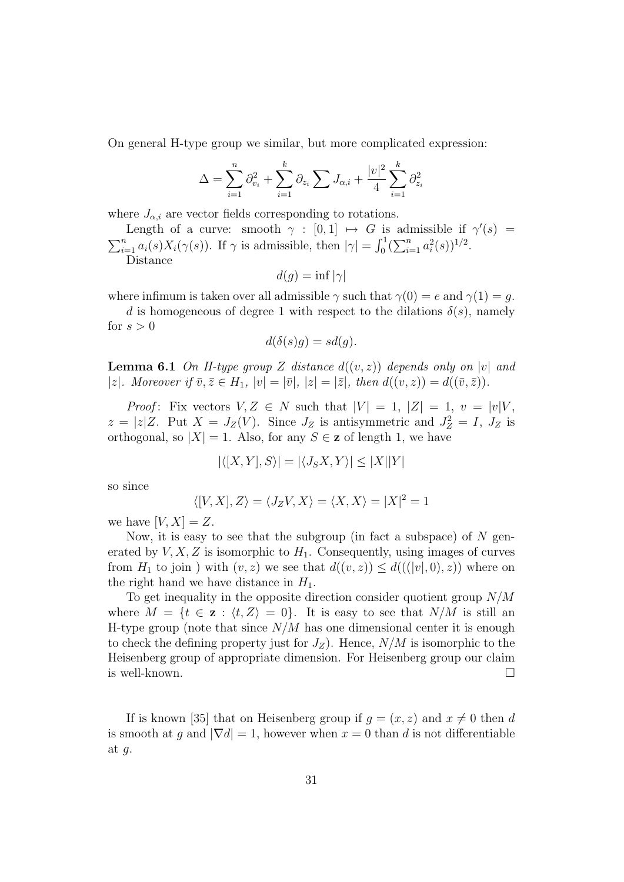On general H-type group we similar, but more complicated expression:

$$
\Delta = \sum_{i=1}^{n} \partial_{v_i}^2 + \sum_{i=1}^{k} \partial_{z_i} \sum J_{\alpha,i} + \frac{|v|^2}{4} \sum_{i=1}^{k} \partial_{z_i}^2
$$

where  $J_{\alpha,i}$  are vector fields corresponding to rotations.

Length of a curve: smooth  $\gamma : [0,1] \mapsto G$  is admissible if  $\gamma'(s) =$  $\sum_{i=1}^n a_i(s)X_i(\gamma(s))$ . If  $\gamma$  is admissible, then  $|\gamma| = \int_0^1 (\sum_{i=1}^n a_i^2(s))^{1/2}$ .

Distance

$$
d(g) = \inf |\gamma|
$$

where infimum is taken over all admissible  $\gamma$  such that  $\gamma(0) = e$  and  $\gamma(1) = q$ .

d is homogeneous of degree 1 with respect to the dilations  $\delta(s)$ , namely for  $s > 0$ 

$$
d(\delta(s)g) = sd(g).
$$

**Lemma 6.1** On H-type group Z distance  $d((v, z))$  depends only on |v| and |z|. Moreover if  $\overline{v}, \overline{z} \in H_1$ ,  $|v| = |\overline{v}|, |z| = |\overline{z}|$ , then  $d((v, z)) = d((\overline{v}, \overline{z}))$ .

*Proof*: Fix vectors  $V, Z \in N$  such that  $|V| = 1, |Z| = 1, v = |v|V$ ,  $z = |z|Z$ . Put  $X = J_Z(V)$ . Since  $J_Z$  is antisymmetric and  $J_Z^2 = I$ ,  $J_Z$  is orthogonal, so  $|X| = 1$ . Also, for any  $S \in \mathbf{z}$  of length 1, we have

$$
|\langle [X,Y],S\rangle|=|\langle J_SX,Y\rangle|\leq |X||Y|
$$

so since

$$
\langle [V, X], Z \rangle = \langle J_Z V, X \rangle = \langle X, X \rangle = |X|^2 = 1
$$

we have  $[V, X] = Z$ .

Now, it is easy to see that the subgroup (in fact a subspace) of  $N$  generated by  $V, X, Z$  is isomorphic to  $H_1$ . Consequently, using images of curves from  $H_1$  to join) with  $(v, z)$  we see that  $d((v, z)) \leq d(((v, 0), z))$  where on the right hand we have distance in  $H_1$ .

To get inequality in the opposite direction consider quotient group  $N/M$ where  $M = \{t \in \mathbf{z} : \langle t, Z \rangle = 0\}$ . It is easy to see that  $N/M$  is still an H-type group (note that since  $N/M$  has one dimensional center it is enough to check the defining property just for  $J_Z$ ). Hence,  $N/M$  is isomorphic to the Heisenberg group of appropriate dimension. For Heisenberg group our claim is well-known.  $\Box$ 

If is known [35] that on Heisenberg group if  $g = (x, z)$  and  $x \neq 0$  then d is smooth at q and  $|\nabla d| = 1$ , however when  $x = 0$  than d is not differentiable at  $g$ .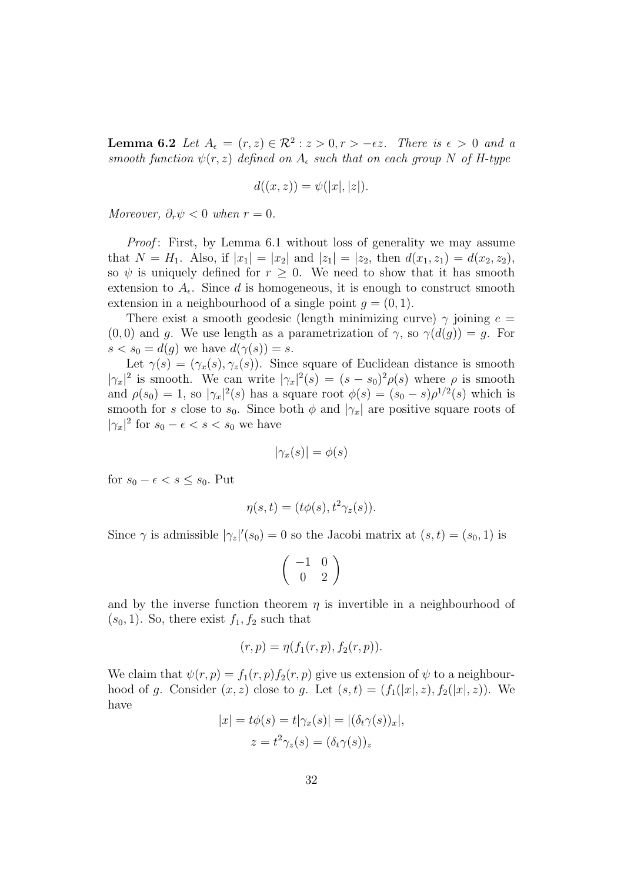**Lemma 6.2** Let  $A_{\epsilon} = (r, z) \in \mathcal{R}^2 : z > 0, r > -\epsilon z$ . There is  $\epsilon > 0$  and a smooth function  $\psi(r, z)$  defined on  $A_{\epsilon}$  such that on each group N of H-type

$$
d((x,z)) = \psi(|x|,|z|).
$$

Moreover,  $\partial_r \psi < 0$  when  $r = 0$ .

*Proof*: First, by Lemma 6.1 without loss of generality we may assume that  $N = H_1$ . Also, if  $|x_1| = |x_2|$  and  $|z_1| = |z_2|$ , then  $d(x_1, z_1) = d(x_2, z_2)$ , so  $\psi$  is uniquely defined for  $r \geq 0$ . We need to show that it has smooth extension to  $A_{\epsilon}$ . Since d is homogeneous, it is enough to construct smooth extension in a neighbourhood of a single point  $q = (0, 1)$ .

There exist a smooth geodesic (length minimizing curve)  $\gamma$  joining  $e =$  $(0, 0)$  and g. We use length as a parametrization of  $\gamma$ , so  $\gamma(d(g)) = g$ . For  $s < s_0 = d(g)$  we have  $d(\gamma(s)) = s$ .

Let  $\gamma(s) = (\gamma_x(s), \gamma_z(s))$ . Since square of Euclidean distance is smooth  $|\gamma_x|^2$  is smooth. We can write  $|\gamma_x|^2(s) = (s-s_0)^2 \rho(s)$  where  $\rho$  is smooth and  $\rho(s_0) = 1$ , so  $|\gamma_x|^2(s)$  has a square root  $\phi(s) = (s_0 - s)\rho^{1/2}(s)$  which is smooth for s close to  $s_0$ . Since both  $\phi$  and  $|\gamma_x|$  are positive square roots of  $|\gamma_x|^2$  for  $s_0 - \epsilon < s < s_0$  we have

$$
|\gamma_x(s)| = \phi(s)
$$

for  $s_0 - \epsilon < s \leq s_0$ . Put

$$
\eta(s,t) = (t\phi(s), t^2\gamma_z(s)).
$$

Since  $\gamma$  is admissible  $|\gamma_z|'(s_0) = 0$  so the Jacobi matrix at  $(s, t) = (s_0, 1)$  is

$$
\left(\begin{array}{cc} -1 & 0 \\ 0 & 2 \end{array}\right)
$$

and by the inverse function theorem  $\eta$  is invertible in a neighbourhood of  $(s_0, 1)$ . So, there exist  $f_1, f_2$  such that

$$
(r, p) = \eta(f_1(r, p), f_2(r, p)).
$$

We claim that  $\psi(r, p) = f_1(r, p) f_2(r, p)$  give us extension of  $\psi$  to a neighbourhood of g. Consider  $(x, z)$  close to g. Let  $(s, t) = (f_1(|x|, z), f_2(|x|, z))$ . We have

$$
|x| = t\phi(s) = t|\gamma_x(s)| = |(\delta_t \gamma(s))_x|,
$$
  

$$
z = t^2 \gamma_z(s) = (\delta_t \gamma(s))_z
$$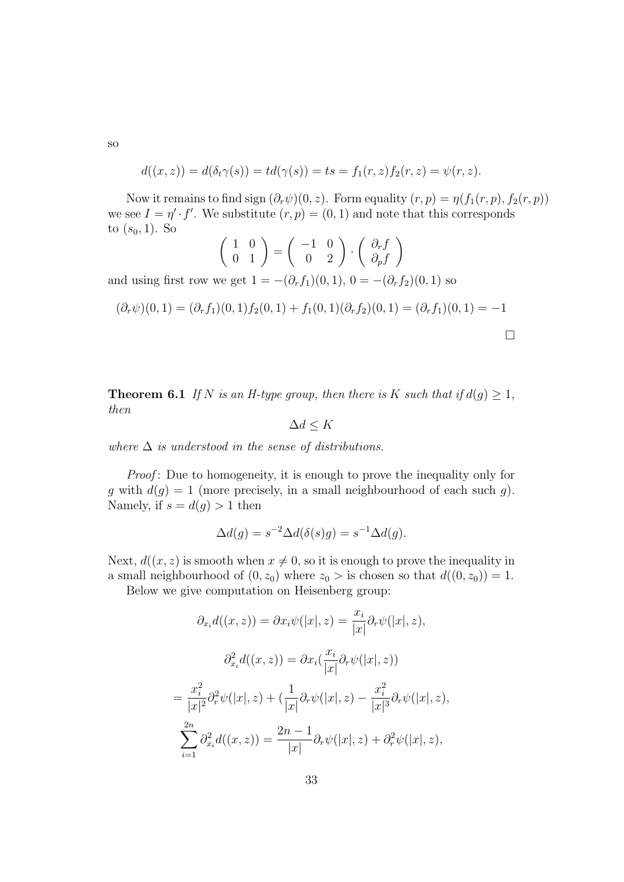so

$$
d((x, z)) = d(\delta_t \gamma(s)) = td(\gamma(s)) = ts = f_1(r, z) f_2(r, z) = \psi(r, z).
$$

Now it remains to find sign  $(\partial_r \psi)(0, z)$ . Form equality  $(r, p) = \eta(f_1(r, p), f_2(r, p))$ we see  $I = \eta' \cdot f'$ . We substitute  $(r, p) = (0, 1)$  and note that this corresponds to  $(s_0, 1)$ . So

$$
\left(\begin{array}{cc} 1 & 0 \\ 0 & 1 \end{array}\right) = \left(\begin{array}{cc} -1 & 0 \\ 0 & 2 \end{array}\right) \cdot \left(\begin{array}{c} \partial_r f \\ \partial_p f \end{array}\right)
$$

and using first row we get  $1 = -(\partial_r f_1)(0, 1), 0 = -(\partial_r f_2)(0, 1)$  so

$$
(\partial_r \psi)(0,1) = (\partial_r f_1)(0,1) f_2(0,1) + f_1(0,1)(\partial_r f_2)(0,1) = (\partial_r f_1)(0,1) = -1
$$

**Theorem 6.1** If N is an H-type group, then there is K such that if  $d(q) \geq 1$ , then

$$
\Delta d \leq K
$$

where  $\Delta$  is understood in the sense of distributions.

*Proof*: Due to homogeneity, it is enough to prove the inequality only for g with  $d(g) = 1$  (more precisely, in a small neighbourhood of each such g). Namely, if  $s = d(g) > 1$  then

$$
\Delta d(g) = s^{-2} \Delta d(\delta(s)g) = s^{-1} \Delta d(g).
$$

Next,  $d((x, z)$  is smooth when  $x \neq 0$ , so it is enough to prove the inequality in a small neighbourhood of  $(0, z_0)$  where  $z_0 >$  is chosen so that  $d((0, z_0)) = 1$ .

Below we give computation on Heisenberg group:

$$
\partial_{x_i} d((x, z)) = \partial x_i \psi(|x|, z) = \frac{x_i}{|x|} \partial_r \psi(|x|, z),
$$

$$
\partial_{x_i}^2 d((x, z)) = \partial x_i \left(\frac{x_i}{|x|} \partial_r \psi(|x|, z)\right)
$$

$$
= \frac{x_i^2}{|x|^2} \partial_r^2 \psi(|x|, z) + \left(\frac{1}{|x|} \partial_r \psi(|x|, z) - \frac{x_i^2}{|x|^3} \partial_r \psi(|x|, z)\right),
$$

$$
\sum_{i=1}^{2n} \partial_{x_i}^2 d((x, z)) = \frac{2n - 1}{|x|} \partial_r \psi(|x|, z) + \partial_r^2 \psi(|x|, z),
$$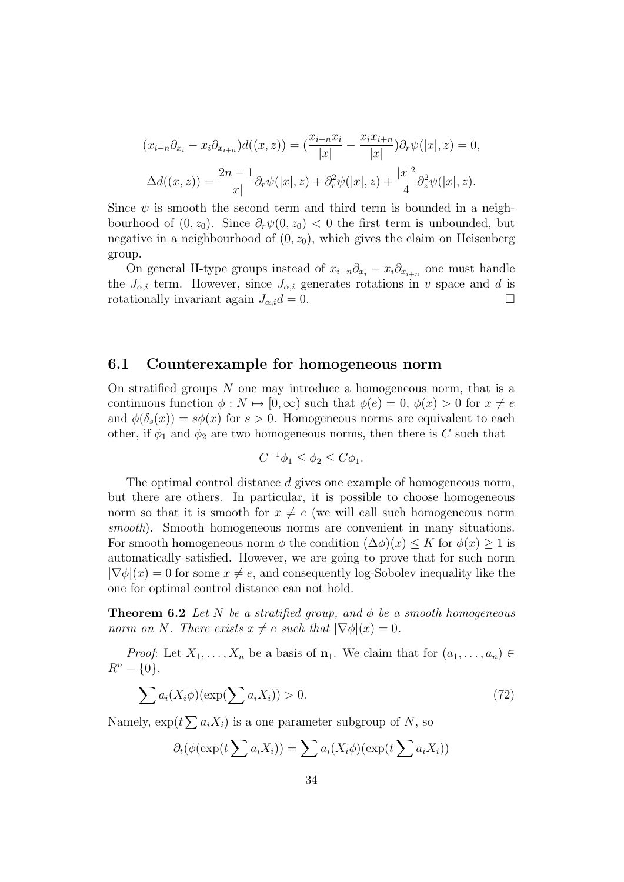$$
(x_{i+n}\partial_{x_i} - x_i \partial_{x_{i+n}})d((x, z)) = \left(\frac{x_{i+n}x_i}{|x|} - \frac{x_ix_{i+n}}{|x|}\right)\partial_r \psi(|x|, z) = 0,
$$
  

$$
\Delta d((x, z)) = \frac{2n - 1}{|x|}\partial_r \psi(|x|, z) + \partial_r^2 \psi(|x|, z) + \frac{|x|^2}{4}\partial_z^2 \psi(|x|, z).
$$

Since  $\psi$  is smooth the second term and third term is bounded in a neighbourhood of  $(0, z_0)$ . Since  $\partial_r \psi(0, z_0) < 0$  the first term is unbounded, but negative in a neighbourhood of  $(0, z_0)$ , which gives the claim on Heisenberg group.

On general H-type groups instead of  $x_{i+n}\partial_{x_i} - x_i\partial_{x_{i+n}}$  one must handle the  $J_{\alpha,i}$  term. However, since  $J_{\alpha,i}$  generates rotations in v space and d is rotationally invariant again  $J_{\alpha,i}d = 0$ .

#### 6.1 Counterexample for homogeneous norm

On stratified groups  $N$  one may introduce a homogeneous norm, that is a continuous function  $\phi: N \mapsto [0, \infty)$  such that  $\phi(e) = 0, \phi(x) > 0$  for  $x \neq e$ and  $\phi(\delta_s(x)) = s\phi(x)$  for  $s > 0$ . Homogeneous norms are equivalent to each other, if  $\phi_1$  and  $\phi_2$  are two homogeneous norms, then there is C such that

$$
C^{-1}\phi_1 \le \phi_2 \le C\phi_1.
$$

The optimal control distance d gives one example of homogeneous norm, but there are others. In particular, it is possible to choose homogeneous norm so that it is smooth for  $x \neq e$  (we will call such homogeneous norm smooth). Smooth homogeneous norms are convenient in many situations. For smooth homogeneous norm  $\phi$  the condition  $(\Delta \phi)(x) \leq K$  for  $\phi(x) \geq 1$  is automatically satisfied. However, we are going to prove that for such norm  $|\nabla \phi|(x) = 0$  for some  $x \neq e$ , and consequently log-Sobolev inequality like the one for optimal control distance can not hold.

**Theorem 6.2** Let N be a stratified group, and  $\phi$  be a smooth homogeneous norm on N. There exists  $x \neq e$  such that  $|\nabla \phi|(x) = 0$ .

*Proof*: Let  $X_1, \ldots, X_n$  be a basis of  $\mathbf{n}_1$ . We claim that for  $(a_1, \ldots, a_n) \in$  $R^n - \{0\},\$ 

$$
\sum a_i(X_i \phi)(\exp(\sum a_i X_i)) > 0.
$$
\n(72)

Namely,  $\exp(t\sum a_i X_i)$  is a one parameter subgroup of N, so

$$
\partial_t(\phi(\exp(t\sum a_i X_i)) = \sum a_i(X_i\phi)(\exp(t\sum a_i X_i))
$$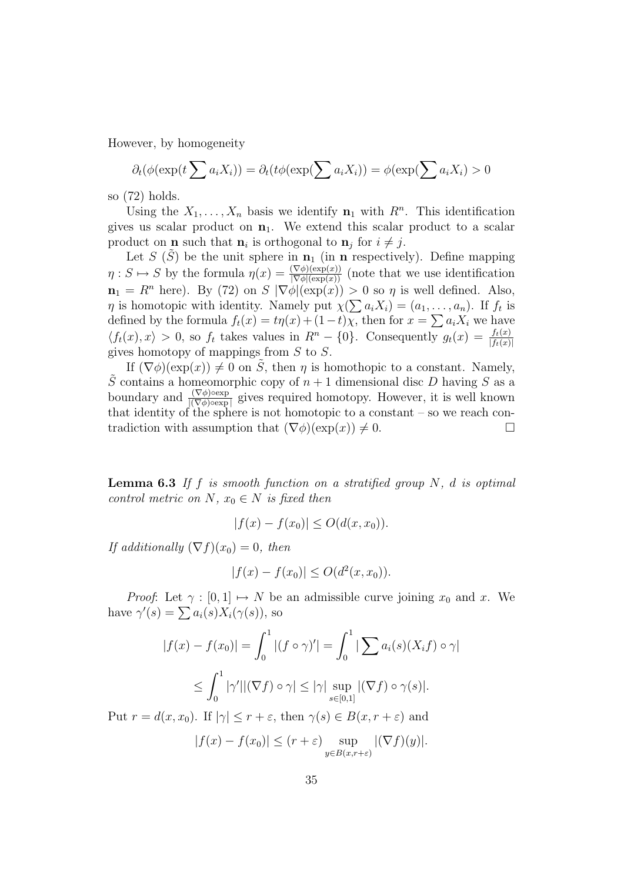However, by homogeneity

$$
\partial_t(\phi(\exp(t\sum a_i X_i)) = \partial_t(t\phi(\exp(\sum a_i X_i)) = \phi(\exp(\sum a_i X_i) > 0
$$

so (72) holds.

Using the  $X_1, \ldots, X_n$  basis we identify  $\mathbf{n}_1$  with  $R^n$ . This identification gives us scalar product on  $n_1$ . We extend this scalar product to a scalar product on **n** such that  $\mathbf{n}_i$  is orthogonal to  $\mathbf{n}_j$  for  $i \neq j$ .

Let S  $(S)$  be the unit sphere in  $n_1$  (in n respectively). Define mapping  $\eta: S \mapsto S$  by the formula  $\eta(x) = \frac{(\nabla \phi)(\exp(x))}{|\nabla \phi|(\exp(x))}$  (note that we use identification  $\mathbf{n}_1 = R^n$  here). By (72) on  $S |\nabla \phi|(\exp(x)) > 0$  so  $\eta$  is well defined. Also,  $\eta$  is homotopic with identity. Namely put  $\chi(\sum a_i X_i) = (a_1, \ldots, a_n)$ . If  $f_t$  is defined by the formula  $f_t(x) = t\eta(x) + (1-t)\chi$ , then for  $x = \sum a_i X_i$  we have  $\langle f_t(x), x \rangle > 0$ , so  $f_t$  takes values in  $R^n - \{0\}$ . Consequently  $g_t(x) = \frac{f_t(x)}{|f_t(x)|}$ gives homotopy of mappings from S to S.

If  $(\nabla \phi)(\exp(x)) \neq 0$  on  $\tilde{S}$ , then  $\eta$  is homothopic to a constant. Namely,  $\tilde{S}$  contains a homeomorphic copy of  $n+1$  dimensional disc D having S as a boundary and  $\frac{(\nabla \phi) \circ \exp}{|(\nabla \phi) \circ \exp|}$  gives required homotopy. However, it is well known that identity of the sphere is not homotopic to a constant – so we reach contradiction with assumption that  $(\nabla \phi)(\exp(x)) \neq 0$ .

**Lemma 6.3** If f is smooth function on a stratified group  $N$ , d is optimal control metric on N,  $x_0 \in N$  is fixed then

$$
|f(x) - f(x_0)| \le O(d(x, x_0)).
$$

If additionally  $(\nabla f)(x_0) = 0$ , then

$$
|f(x) - f(x_0)| \le O(d^2(x, x_0)).
$$

*Proof*: Let  $\gamma : [0, 1] \mapsto N$  be an admissible curve joining  $x_0$  and x. We have  $\gamma'(s) = \sum a_i(s) X_i(\gamma(s))$ , so

$$
|f(x) - f(x_0)| = \int_0^1 |(f \circ \gamma)'| = \int_0^1 |\sum a_i(s)(X_i f) \circ \gamma|
$$
  

$$
\leq \int_0^1 |\gamma'||(\nabla f) \circ \gamma| \leq |\gamma| \sup_{s \in [0,1]} |(\nabla f) \circ \gamma(s)|.
$$

Put  $r = d(x, x_0)$ . If  $|\gamma| \leq r + \varepsilon$ , then  $\gamma(s) \in B(x, r + \varepsilon)$  and

$$
|f(x) - f(x_0)| \le (r + \varepsilon) \sup_{y \in B(x, r + \varepsilon)} |(\nabla f)(y)|.
$$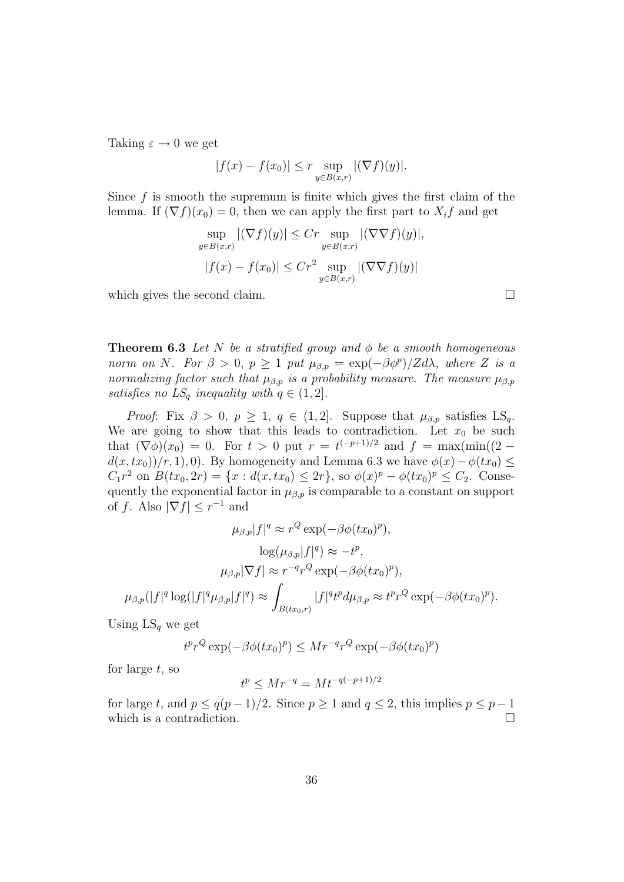Taking  $\varepsilon \to 0$  we get

$$
|f(x) - f(x_0)| \leq r \sup_{y \in B(x,r)} |(\nabla f)(y)|.
$$

Since  $f$  is smooth the supremum is finite which gives the first claim of the lemma. If  $(\nabla f)(x_0) = 0$ , then we can apply the first part to  $X_i f$  and get

$$
\sup_{y \in B(x,r)} |(\nabla f)(y)| \le Cr \sup_{y \in B(x,r)} |(\nabla \nabla f)(y)|,
$$
  

$$
|f(x) - f(x_0)| \le Cr^2 \sup_{y \in B(x,r)} |(\nabla \nabla f)(y)|
$$

which gives the second claim.  $\Box$ 

**Theorem 6.3** Let N be a stratified group and  $\phi$  be a smooth homogeneous norm on N. For  $\beta > 0$ ,  $p \ge 1$  put  $\mu_{\beta,p} = \exp(-\beta \phi^p)/Z d\lambda$ , where Z is a normalizing factor such that  $\mu_{\beta,p}$  is a probability measure. The measure  $\mu_{\beta,p}$ satisfies no  $LS_q$  inequality with  $q \in (1, 2]$ .

*Proof:* Fix  $\beta > 0$ ,  $p \geq 1$ ,  $q \in (1, 2]$ . Suppose that  $\mu_{\beta, p}$  satisfies LS<sub>q</sub>. We are going to show that this leads to contradiction. Let  $x_0$  be such that  $(\nabla \phi)(x_0) = 0$ . For  $t > 0$  put  $r = t^{(-p+1)/2}$  and  $f = \max(\min((2$  $d(x, tx_0)/(r, 1), 0$ . By homogeneity and Lemma 6.3 we have  $\phi(x)-\phi(tx_0) \leq$  $C_1 r^2$  on  $B(tx_0, 2r) = \{x : d(x, tx_0) \leq 2r\}$ , so  $\phi(x)^p - \phi(tx_0)^p \leq C_2$ . Consequently the exponential factor in  $\mu_{\beta,p}$  is comparable to a constant on support of f. Also  $|\nabla f| \leq r^{-1}$  and

$$
\mu_{\beta,p}|f|^q \approx r^Q \exp(-\beta \phi(tx_0)^p),
$$

$$
\log(\mu_{\beta,p}|f|^q) \approx -t^p,
$$

$$
\mu_{\beta,p}|\nabla f| \approx r^{-q}r^Q \exp(-\beta \phi(tx_0)^p),
$$

$$
\mu_{\beta,p}(|f|^q \log(|f|^q \mu_{\beta,p}|f|^q) \approx \int_{B(tx_0,r)} |f|^q t^p d\mu_{\beta,p} \approx t^p r^Q \exp(-\beta \phi(tx_0)^p).
$$

Using  $LS<sub>q</sub>$  we get

$$
t^p r^Q \exp(-\beta \phi(tx_0)^p) \leq Mr^{-q} r^Q \exp(-\beta \phi(tx_0)^p)
$$

for large  $t$ , so

$$
t^p \le Mr^{-q} = Mt^{-(p+1)/2}
$$

for large t, and  $p \le q(p-1)/2$ . Since  $p \ge 1$  and  $q \le 2$ , this implies  $p \le p-1$ which is a contradiction.  $\Box$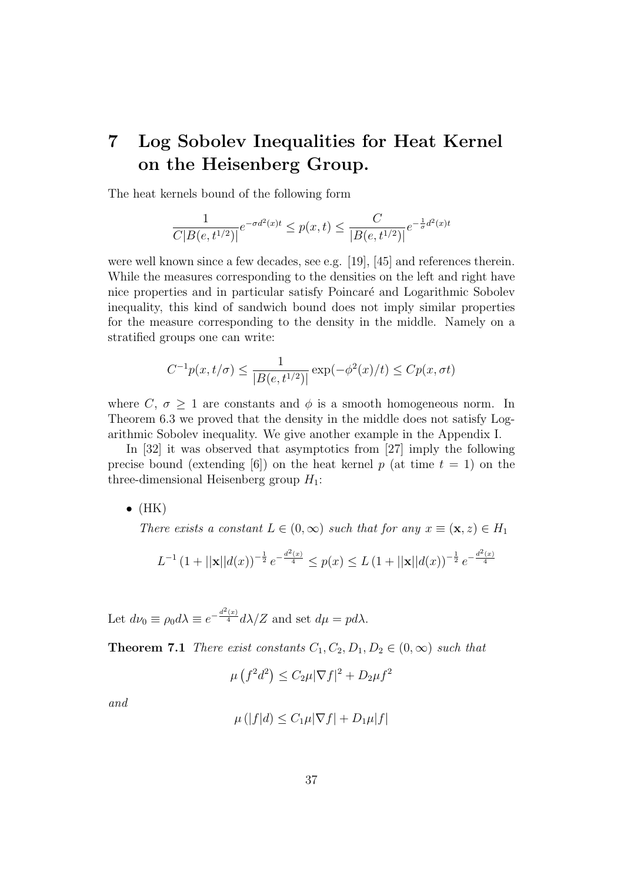## 7 Log Sobolev Inequalities for Heat Kernel on the Heisenberg Group.

The heat kernels bound of the following form

$$
\frac{1}{C|B(e,t^{1/2})|}e^{-\sigma d^2(x)t} \le p(x,t) \le \frac{C}{|B(e,t^{1/2})|}e^{-\frac{1}{\sigma}d^2(x)t}
$$

were well known since a few decades, see e.g. [19], [45] and references therein. While the measures corresponding to the densities on the left and right have nice properties and in particular satisfy Poincaré and Logarithmic Sobolev inequality, this kind of sandwich bound does not imply similar properties for the measure corresponding to the density in the middle. Namely on a stratified groups one can write:

$$
C^{-1}p(x, t/\sigma) \le \frac{1}{|B(e, t^{1/2})|} \exp(-\phi^2(x)/t) \le Cp(x, \sigma t)
$$

where C,  $\sigma \geq 1$  are constants and  $\phi$  is a smooth homogeneous norm. In Theorem 6.3 we proved that the density in the middle does not satisfy Logarithmic Sobolev inequality. We give another example in the Appendix I.

In [32] it was observed that asymptotics from [27] imply the following precise bound (extending [6]) on the heat kernel p (at time  $t = 1$ ) on the three-dimensional Heisenberg group  $H_1$ :

 $\bullet$  (HK)

There exists a constant  $L \in (0,\infty)$  such that for any  $x \equiv (\mathbf{x},z) \in H_1$ 

$$
L^{-1} (1+||\mathbf{x}||d(x))^{-\frac{1}{2}} e^{-\frac{d^2(x)}{4}} \le p(x) \le L (1+||\mathbf{x}||d(x))^{-\frac{1}{2}} e^{-\frac{d^2(x)}{4}}
$$

Let  $d\nu_0 \equiv \rho_0 d\lambda \equiv e^{-\frac{d^2(x)}{4}} d\lambda/Z$  and set  $d\mu = p d\lambda$ .

**Theorem 7.1** There exist constants  $C_1, C_2, D_1, D_2 \in (0, \infty)$  such that

 $\mu\left(f^2d^2\right) \leq C_2\mu|\nabla f|^2 + D_2\mu f^2$ 

and

$$
\mu(|f|d) \le C_1 \mu |\nabla f| + D_1 \mu |f|
$$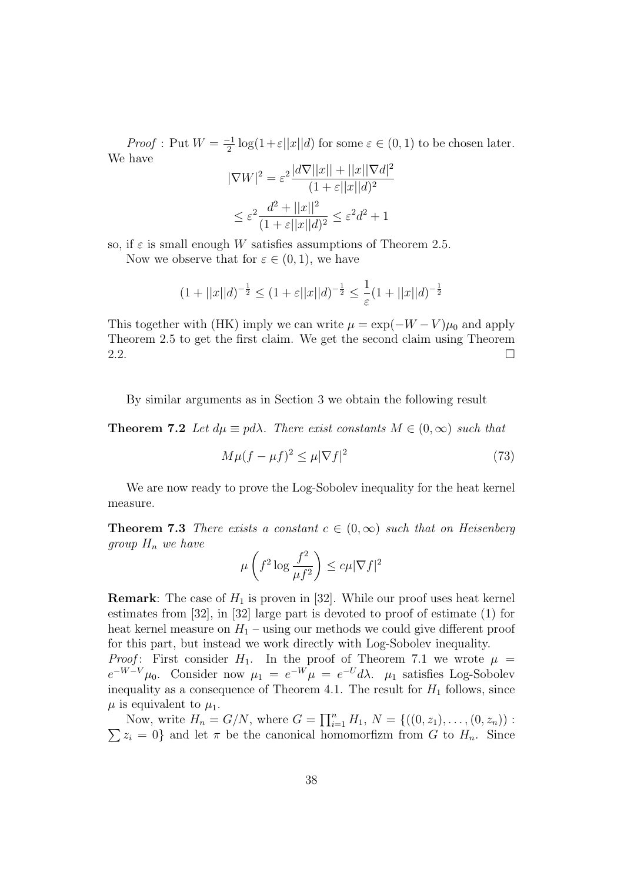*Proof* : Put  $W = \frac{-1}{2}$  $\frac{1}{2} \log(1+\varepsilon||x||d)$  for some  $\varepsilon \in (0,1)$  to be chosen later. We have

$$
|\nabla W|^2 = \varepsilon^2 \frac{|d\nabla||x|| + ||x||\nabla d|^2}{(1 + \varepsilon||x||d)^2}
$$

$$
\leq \varepsilon^2 \frac{d^2 + ||x||^2}{(1 + \varepsilon||x||d)^2} \leq \varepsilon^2 d^2 + 1
$$

so, if  $\varepsilon$  is small enough W satisfies assumptions of Theorem 2.5.

Now we observe that for  $\varepsilon \in (0,1)$ , we have

$$
(1+||x||d)^{-\frac{1}{2}} \le (1+\varepsilon||x||d)^{-\frac{1}{2}} \le \frac{1}{\varepsilon}(1+||x||d)^{-\frac{1}{2}}
$$

This together with (HK) imply we can write  $\mu = \exp(-W - V)\mu_0$  and apply Theorem 2.5 to get the first claim. We get the second claim using Theorem 2.2.  $\Box$ 

By similar arguments as in Section 3 we obtain the following result

**Theorem 7.2** Let  $d\mu \equiv pd\lambda$ . There exist constants  $M \in (0, \infty)$  such that

$$
M\mu(f - \mu f)^2 \le \mu |\nabla f|^2 \tag{73}
$$

We are now ready to prove the Log-Sobolev inequality for the heat kernel measure.

**Theorem 7.3** There exists a constant  $c \in (0,\infty)$  such that on Heisenberg group  $H_n$  we have

$$
\mu\left(f^2 \log \frac{f^2}{\mu f^2}\right) \le c\mu |\nabla f|^2
$$

**Remark:** The case of  $H_1$  is proven in [32]. While our proof uses heat kernel estimates from [32], in [32] large part is devoted to proof of estimate (1) for heat kernel measure on  $H_1$  – using our methods we could give different proof for this part, but instead we work directly with Log-Sobolev inequality.

*Proof*: First consider  $H_1$ . In the proof of Theorem 7.1 we wrote  $\mu$  $e^{-W-V}\mu_0$ . Consider now  $\mu_1 = e^{-W}\mu = e^{-U}d\lambda$ .  $\mu_1$  satisfies Log-Sobolev inequality as a consequence of Theorem 4.1. The result for  $H_1$  follows, since  $\mu$  is equivalent to  $\mu_1$ .

Now, write  $H_n = G/N$ , where  $G = \prod_{i=1}^n H_1, N = \{((0, z_1), \ldots, (0, z_n))\}$ :  $\sum z_i = 0$  and let  $\pi$  be the canonical homomorfizm from G to  $H_n$ . Since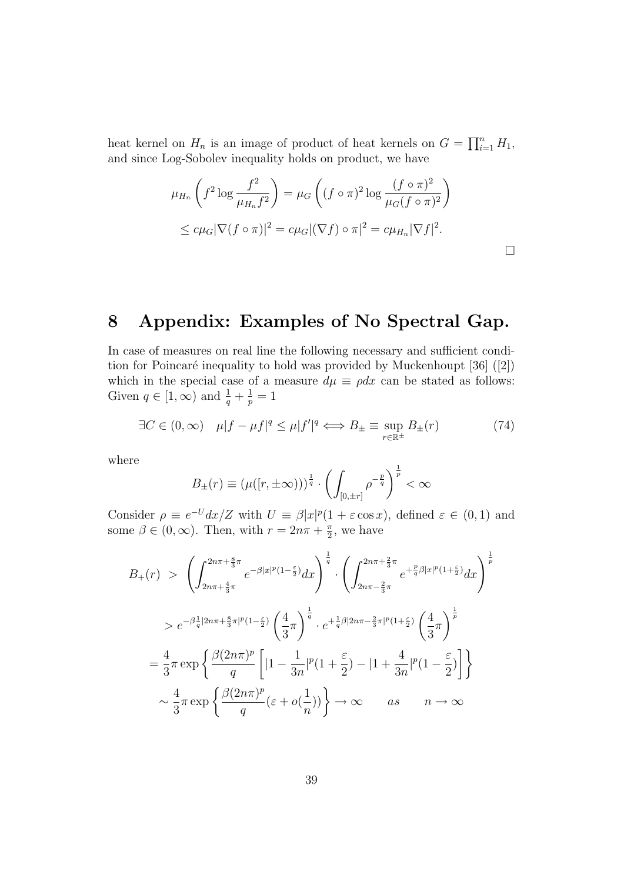heat kernel on  $H_n$  is an image of product of heat kernels on  $G = \prod_{i=1}^n H_1$ , and since Log-Sobolev inequality holds on product, we have

$$
\mu_{H_n}\left(f^2 \log \frac{f^2}{\mu_{H_n}f^2}\right) = \mu_G\left((f \circ \pi)^2 \log \frac{(f \circ \pi)^2}{\mu_G(f \circ \pi)^2}\right)
$$
  

$$
\leq c\mu_G|\nabla (f \circ \pi)|^2 = c\mu_G|(\nabla f) \circ \pi|^2 = c\mu_{H_n}|\nabla f|^2.
$$

## 8 Appendix: Examples of No Spectral Gap.

In case of measures on real line the following necessary and sufficient condition for Poincaré inequality to hold was provided by Muckenhoupt  $[36]$  ([2]) which in the special case of a measure  $d\mu \equiv \rho dx$  can be stated as follows: Given  $q \in [1, \infty)$  and  $\frac{1}{q} + \frac{1}{p}$  $\frac{1}{p}=1$ 

$$
\exists C \in (0, \infty) \quad \mu |f - \mu f|^q \le \mu |f'|^q \iff B_{\pm} \equiv \sup_{r \in \mathbb{R}^{\pm}} B_{\pm}(r) \tag{74}
$$

where

$$
B_{\pm}(r) \equiv (\mu([r, \pm \infty)))^{\frac{1}{q}} \cdot \left(\int_{[0, \pm r]} \rho^{-\frac{p}{q}}\right)^{\frac{1}{p}} < \infty
$$

Consider  $\rho \equiv e^{-U} dx/Z$  with  $U \equiv \beta |x|^p (1 + \varepsilon \cos x)$ , defined  $\varepsilon \in (0,1)$  and some  $\beta \in (0,\infty)$ . Then, with  $r = 2n\pi + \frac{\pi}{2}$  $\frac{\pi}{2}$ , we have

$$
B_{+}(r) > \left(\int_{2n\pi+\frac{4}{3}\pi}^{2n\pi+\frac{8}{3}\pi} e^{-\beta|x|^{p}(1-\frac{\varepsilon}{2})} dx\right)^{\frac{1}{q}} \cdot \left(\int_{2n\pi-\frac{2}{3}\pi}^{2n\pi+\frac{2}{3}\pi} e^{+\frac{p}{q}\beta|x|^{p}(1+\frac{\varepsilon}{2})} dx\right)^{\frac{1}{p}}
$$
  
\n
$$
> e^{-\beta\frac{1}{q}|2n\pi+\frac{8}{3}\pi|^{p}(1-\frac{\varepsilon}{2})} \left(\frac{4}{3}\pi\right)^{\frac{1}{q}} \cdot e^{+\frac{1}{q}\beta|2n\pi-\frac{2}{3}\pi|^{p}(1+\frac{\varepsilon}{2})} \left(\frac{4}{3}\pi\right)^{\frac{1}{p}}
$$
  
\n
$$
= \frac{4}{3}\pi \exp\left\{\frac{\beta(2n\pi)^{p}}{q}\left[|1-\frac{1}{3n}|^{p}(1+\frac{\varepsilon}{2})-|1+\frac{4}{3n}|^{p}(1-\frac{\varepsilon}{2})\right]\right\}
$$
  
\n
$$
\sim \frac{4}{3}\pi \exp\left\{\frac{\beta(2n\pi)^{p}}{q}(\varepsilon+o(\frac{1}{n}))\right\} \to \infty \qquad as \qquad n \to \infty
$$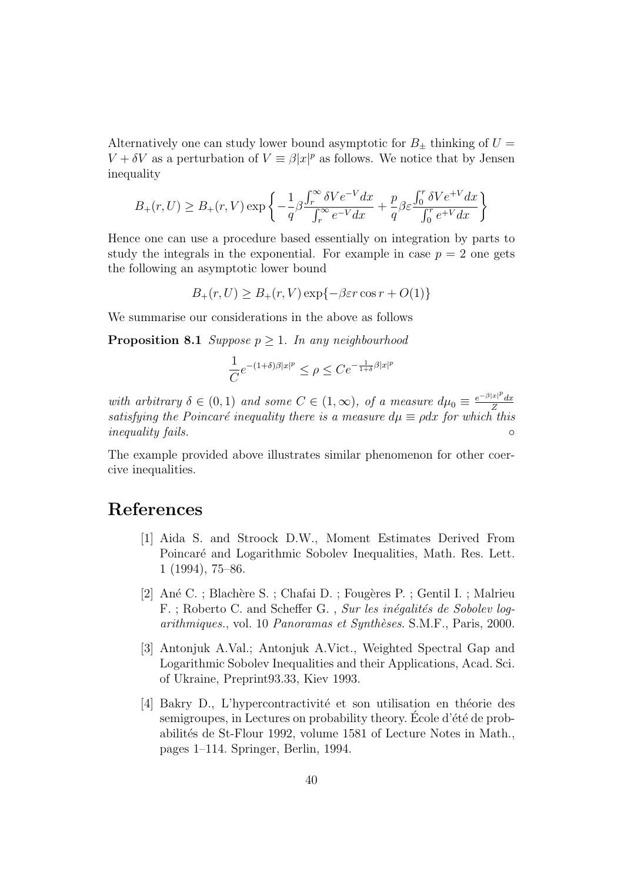Alternatively one can study lower bound asymptotic for  $B_{\pm}$  thinking of  $U =$  $V + \delta V$  as a perturbation of  $V \equiv \beta |x|^p$  as follows. We notice that by Jensen inequality

$$
B_{+}(r,U) \geq B_{+}(r,V) \exp \left\{-\frac{1}{q}\beta \frac{\int_{r}^{\infty} \delta V e^{-V} dx}{\int_{r}^{\infty} e^{-V} dx} + \frac{p}{q}\beta \varepsilon \frac{\int_{0}^{r} \delta V e^{+V} dx}{\int_{0}^{r} e^{+V} dx}\right\}
$$

Hence one can use a procedure based essentially on integration by parts to study the integrals in the exponential. For example in case  $p = 2$  one gets the following an asymptotic lower bound

$$
B_{+}(r,U) \geq B_{+}(r,V) \exp\{-\beta \varepsilon r \cos r + O(1)\}
$$

We summarise our considerations in the above as follows

**Proposition 8.1** Suppose  $p \geq 1$ . In any neighbourhood

$$
\frac{1}{C}e^{-(1+\delta)\beta|x|^p}\leq \rho\leq Ce^{-\frac{1}{1+\delta}\beta|x|^p}
$$

with arbitrary  $\delta \in (0,1)$  and some  $C \in (1,\infty)$ , of a measure  $d\mu_0 \equiv \frac{e^{-\beta|x|^p}}{Z}$ Z satisfying the Poincaré inequality there is a measure  $d\mu \equiv \rho dx$  for which this inequality fails.

The example provided above illustrates similar phenomenon for other coercive inequalities.

### References

- [1] Aida S. and Stroock D.W., Moment Estimates Derived From Poincaré and Logarithmic Sobolev Inequalities, Math. Res. Lett. 1 (1994), 75–86.
- [2] Ané C. ; Blachère S. ; Chafai D. ; Fougères P. ; Gentil I. ; Malrieu F.; Roberto C. and Scheffer G., Sur les inégalités de Sobolev logarithmiques., vol. 10 Panoramas et Synthèses. S.M.F., Paris, 2000.
- [3] Antonjuk A.Val.; Antonjuk A.Vict., Weighted Spectral Gap and Logarithmic Sobolev Inequalities and their Applications, Acad. Sci. of Ukraine, Preprint93.33, Kiev 1993.
- [4] Bakry D., L'hypercontractivité et son utilisation en théorie des semigroupes, in Lectures on probability theory. École d'été de probabilités de St-Flour 1992, volume 1581 of Lecture Notes in Math., pages 1–114. Springer, Berlin, 1994.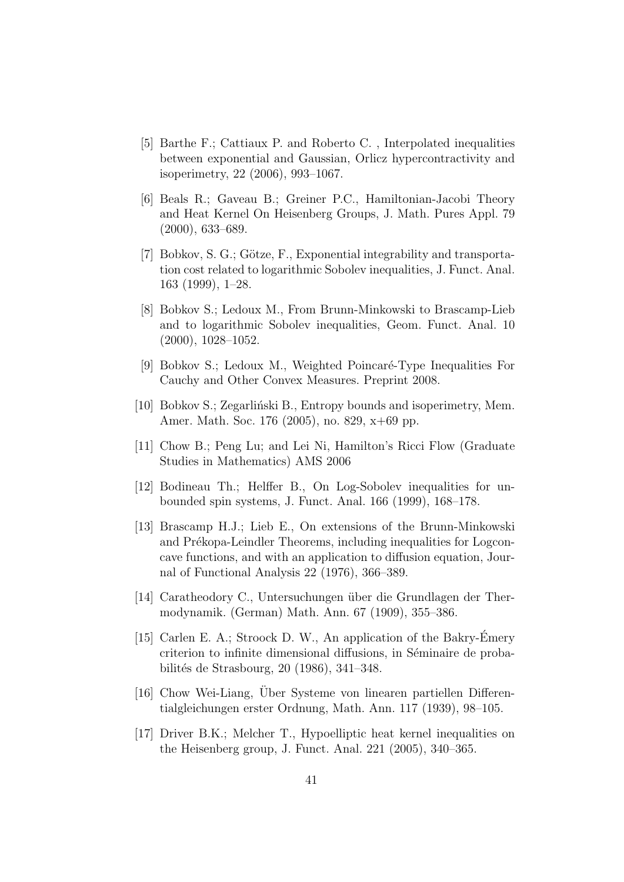- [5] Barthe F.; Cattiaux P. and Roberto C. , Interpolated inequalities between exponential and Gaussian, Orlicz hypercontractivity and isoperimetry, 22 (2006), 993–1067.
- [6] Beals R.; Gaveau B.; Greiner P.C., Hamiltonian-Jacobi Theory and Heat Kernel On Heisenberg Groups, J. Math. Pures Appl. 79 (2000), 633–689.
- [7] Bobkov, S. G.; Götze, F., Exponential integrability and transportation cost related to logarithmic Sobolev inequalities, J. Funct. Anal. 163 (1999), 1–28.
- [8] Bobkov S.; Ledoux M., From Brunn-Minkowski to Brascamp-Lieb and to logarithmic Sobolev inequalities, Geom. Funct. Anal. 10 (2000), 1028–1052.
- [9] Bobkov S.; Ledoux M., Weighted Poincaré-Type Inequalities For Cauchy and Other Convex Measures. Preprint 2008.
- [10] Bobkov S.; Zegarliński B., Entropy bounds and isoperimetry, Mem. Amer. Math. Soc. 176 (2005), no. 829, x+69 pp.
- [11] Chow B.; Peng Lu; and Lei Ni, Hamilton's Ricci Flow (Graduate Studies in Mathematics) AMS 2006
- [12] Bodineau Th.; Helffer B., On Log-Sobolev inequalities for unbounded spin systems, J. Funct. Anal. 166 (1999), 168–178.
- [13] Brascamp H.J.; Lieb E., On extensions of the Brunn-Minkowski and Prékopa-Leindler Theorems, including inequalities for Logconcave functions, and with an application to diffusion equation, Journal of Functional Analysis 22 (1976), 366–389.
- [14] Caratheodory C., Untersuchungen über die Grundlagen der Thermodynamik. (German) Math. Ann. 67 (1909), 355–386.
- [15] Carlen E. A.; Stroock D. W., An application of the Bakry-Émery criterion to infinite dimensional diffusions, in Séminaire de probabilités de Strasbourg, 20 (1986), 341–348.
- [16] Chow Wei-Liang, Über Systeme von linearen partiellen Differentialgleichungen erster Ordnung, Math. Ann. 117 (1939), 98–105.
- [17] Driver B.K.; Melcher T., Hypoelliptic heat kernel inequalities on the Heisenberg group, J. Funct. Anal. 221 (2005), 340–365.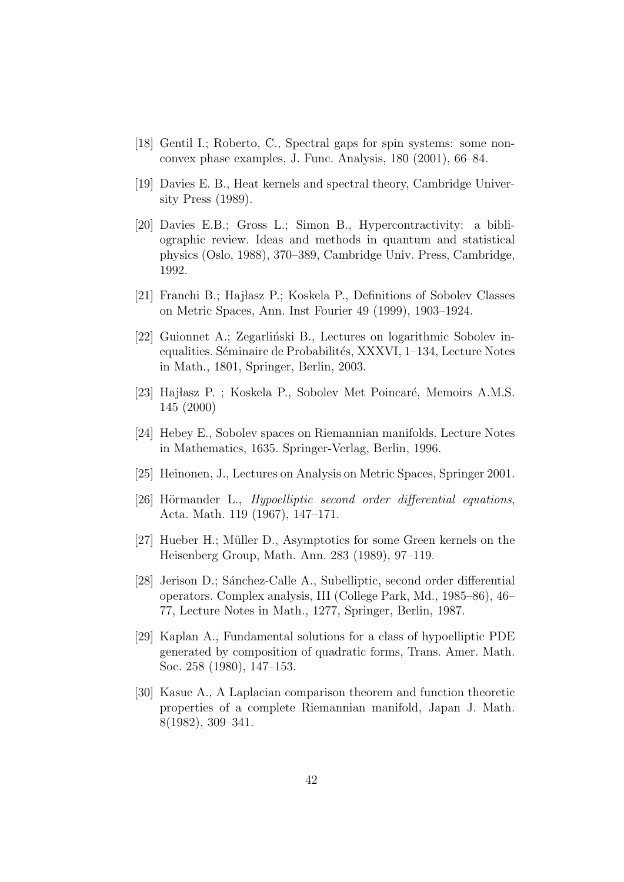- [18] Gentil I.; Roberto, C., Spectral gaps for spin systems: some nonconvex phase examples, J. Func. Analysis, 180 (2001), 66–84.
- [19] Davies E. B., Heat kernels and spectral theory, Cambridge University Press (1989).
- [20] Davies E.B.; Gross L.; Simon B., Hypercontractivity: a bibliographic review. Ideas and methods in quantum and statistical physics (Oslo, 1988), 370–389, Cambridge Univ. Press, Cambridge, 1992.
- [21] Franchi B.; Hajłasz P.; Koskela P., Definitions of Sobolev Classes on Metric Spaces, Ann. Inst Fourier 49 (1999), 1903–1924.
- [22] Guionnet A.; Zegarliński B., Lectures on logarithmic Sobolev inequalities. Séminaire de Probabilités, XXXVI, 1–134, Lecture Notes in Math., 1801, Springer, Berlin, 2003.
- [23] Hajłasz P.; Koskela P., Sobolev Met Poincaré, Memoirs A.M.S. 145 (2000)
- [24] Hebey E., Sobolev spaces on Riemannian manifolds. Lecture Notes in Mathematics, 1635. Springer-Verlag, Berlin, 1996.
- [25] Heinonen, J., Lectures on Analysis on Metric Spaces, Springer 2001.
- [26] Hörmander L., *Hypoelliptic second order differential equations*, Acta. Math. 119 (1967), 147–171.
- [27] Hueber H.; Müller D., Asymptotics for some Green kernels on the Heisenberg Group, Math. Ann. 283 (1989), 97–119.
- [28] Jerison D.; Sánchez-Calle A., Subelliptic, second order differential operators. Complex analysis, III (College Park, Md., 1985–86), 46– 77, Lecture Notes in Math., 1277, Springer, Berlin, 1987.
- [29] Kaplan A., Fundamental solutions for a class of hypoelliptic PDE generated by composition of quadratic forms, Trans. Amer. Math. Soc. 258 (1980), 147–153.
- [30] Kasue A., A Laplacian comparison theorem and function theoretic properties of a complete Riemannian manifold, Japan J. Math. 8(1982), 309–341.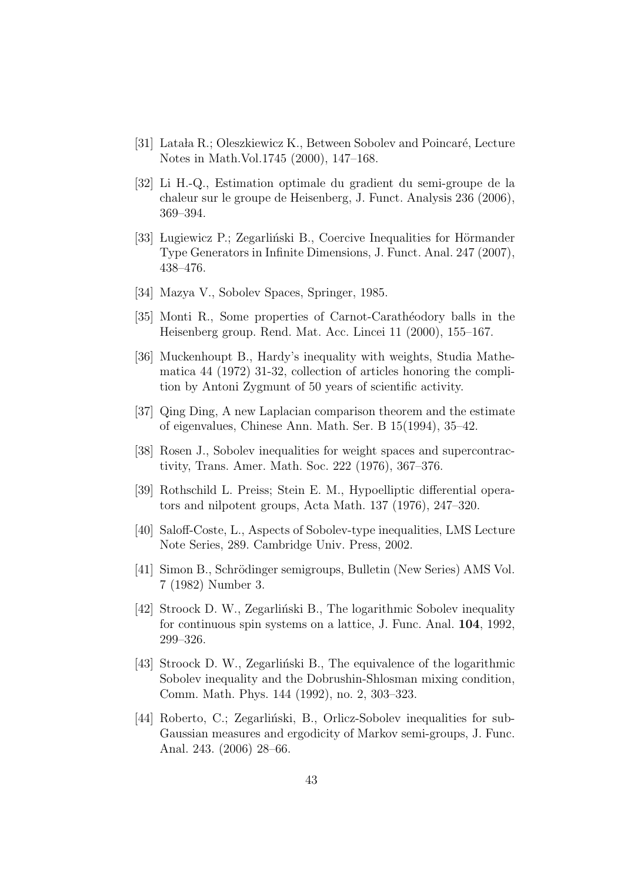- [31] Lataka R.; Oleszkiewicz K., Between Sobolev and Poincaré, Lecture Notes in Math.Vol.1745 (2000), 147–168.
- [32] Li H.-Q., Estimation optimale du gradient du semi-groupe de la chaleur sur le groupe de Heisenberg, J. Funct. Analysis 236 (2006), 369–394.
- [33] Lugiewicz P.; Zegarliński B., Coercive Inequalities for Hörmander Type Generators in Infinite Dimensions, J. Funct. Anal. 247 (2007), 438–476.
- [34] Mazya V., Sobolev Spaces, Springer, 1985.
- [35] Monti R., Some properties of Carnot-Carath´eodory balls in the Heisenberg group. Rend. Mat. Acc. Lincei 11 (2000), 155–167.
- [36] Muckenhoupt B., Hardy's inequality with weights, Studia Mathematica 44 (1972) 31-32, collection of articles honoring the complition by Antoni Zygmunt of 50 years of scientific activity.
- [37] Qing Ding, A new Laplacian comparison theorem and the estimate of eigenvalues, Chinese Ann. Math. Ser. B 15(1994), 35–42.
- [38] Rosen J., Sobolev inequalities for weight spaces and supercontractivity, Trans. Amer. Math. Soc. 222 (1976), 367–376.
- [39] Rothschild L. Preiss; Stein E. M., Hypoelliptic differential operators and nilpotent groups, Acta Math. 137 (1976), 247–320.
- [40] Saloff-Coste, L., Aspects of Sobolev-type inequalities, LMS Lecture Note Series, 289. Cambridge Univ. Press, 2002.
- [41] Simon B., Schrödinger semigroups, Bulletin (New Series) AMS Vol. 7 (1982) Number 3.
- [42] Stroock D. W., Zegarlinski B., The logarithmic Sobolev inequality for continuous spin systems on a lattice, J. Func. Anal. 104, 1992, 299–326.
- [43] Stroock D. W., Zegarlinski B., The equivalence of the logarithmic Sobolev inequality and the Dobrushin-Shlosman mixing condition, Comm. Math. Phys. 144 (1992), no. 2, 303–323.
- [44] Roberto, C.; Zegarliński, B., Orlicz-Sobolev inequalities for sub-Gaussian measures and ergodicity of Markov semi-groups, J. Func. Anal. 243. (2006) 28–66.